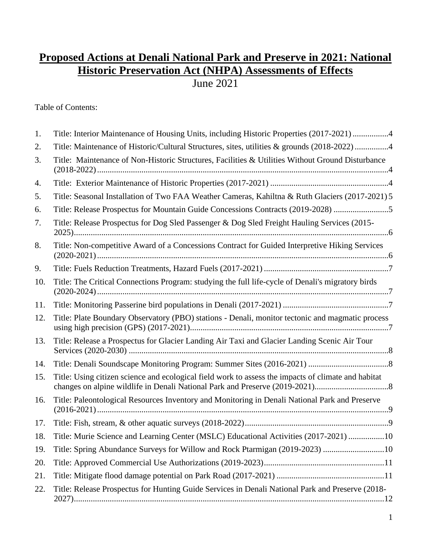# **Proposed Actions at Denali National Park and Preserve in 2021: National Historic Preservation Act (NHPA) Assessments of Effects**

June 2021

Table of Contents:

| 1.  | Title: Interior Maintenance of Housing Units, including Historic Properties (2017-2021) 4           |
|-----|-----------------------------------------------------------------------------------------------------|
| 2.  | Title: Maintenance of Historic/Cultural Structures, sites, utilities & grounds (2018-2022) 4        |
| 3.  | Title: Maintenance of Non-Historic Structures, Facilities & Utilities Without Ground Disturbance    |
| 4.  |                                                                                                     |
| 5.  | Title: Seasonal Installation of Two FAA Weather Cameras, Kahiltna & Ruth Glaciers (2017-2021) 5     |
| 6.  | Title: Release Prospectus for Mountain Guide Concessions Contracts (2019-2028) 5                    |
| 7.  | Title: Release Prospectus for Dog Sled Passenger & Dog Sled Freight Hauling Services (2015-         |
| 8.  | Title: Non-competitive Award of a Concessions Contract for Guided Interpretive Hiking Services      |
| 9.  |                                                                                                     |
| 10. | Title: The Critical Connections Program: studying the full life-cycle of Denali's migratory birds   |
| 11. |                                                                                                     |
| 12. | Title: Plate Boundary Observatory (PBO) stations - Denali, monitor tectonic and magmatic process    |
| 13. | Title: Release a Prospectus for Glacier Landing Air Taxi and Glacier Landing Scenic Air Tour        |
| 14. |                                                                                                     |
| 15. | Title: Using citizen science and ecological field work to assess the impacts of climate and habitat |
| 16. | Title: Paleontological Resources Inventory and Monitoring in Denali National Park and Preserve      |
| 17. |                                                                                                     |
| 18. | Title: Murie Science and Learning Center (MSLC) Educational Activities (2017-2021) 10               |
| 19. | Title: Spring Abundance Surveys for Willow and Rock Ptarmigan (2019-2023) 10                        |
| 20. |                                                                                                     |
| 21. |                                                                                                     |
| 22. | Title: Release Prospectus for Hunting Guide Services in Denali National Park and Preserve (2018-    |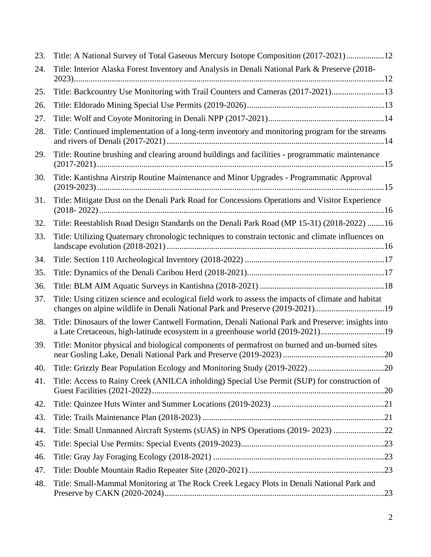| 23. | Title: A National Survey of Total Gaseous Mercury Isotope Composition (2017-2021)12                                                                                                  |
|-----|--------------------------------------------------------------------------------------------------------------------------------------------------------------------------------------|
| 24. | Title: Interior Alaska Forest Inventory and Analysis in Denali National Park & Preserve (2018-                                                                                       |
| 25. | Title: Backcountry Use Monitoring with Trail Counters and Cameras (2017-2021)13                                                                                                      |
| 26. |                                                                                                                                                                                      |
| 27. |                                                                                                                                                                                      |
| 28. | Title: Continued implementation of a long-term inventory and monitoring program for the streams                                                                                      |
| 29. | Title: Routine brushing and clearing around buildings and facilities - programmatic maintenance                                                                                      |
| 30. | Title: Kantishna Airstrip Routine Maintenance and Minor Upgrades - Programmatic Approval                                                                                             |
| 31. | Title: Mitigate Dust on the Denali Park Road for Concessions Operations and Visitor Experience                                                                                       |
| 32. | Title: Reestablish Road Design Standards on the Denali Park Road (MP 15-31) (2018-2022) 16                                                                                           |
| 33. | Title: Utilizing Quaternary chronologic techniques to constrain tectonic and climate influences on                                                                                   |
| 34. |                                                                                                                                                                                      |
| 35. |                                                                                                                                                                                      |
| 36. |                                                                                                                                                                                      |
| 37. | Title: Using citizen science and ecological field work to assess the impacts of climate and habitat<br>changes on alpine wildlife in Denali National Park and Preserve (2019-2021)19 |
| 38. | Title: Dinosaurs of the lower Cantwell Formation, Denali National Park and Preserve: insights into<br>a Late Cretaceous, high-latitude ecosystem in a greenhouse world (2019-2021)19 |
| 39. | Title: Monitor physical and biological components of permafrost on burned and un-burned sites                                                                                        |
| 40. |                                                                                                                                                                                      |
| 41. | Title: Access to Rainy Creek (ANILCA inholding) Special Use Permit (SUP) for construction of                                                                                         |
| 42. |                                                                                                                                                                                      |
| 43. |                                                                                                                                                                                      |
| 44. | Title: Small Unmanned Aircraft Systems (sUAS) in NPS Operations (2019-2023) 22                                                                                                       |
| 45. |                                                                                                                                                                                      |
| 46. |                                                                                                                                                                                      |
| 47. |                                                                                                                                                                                      |
| 48. | Title: Small-Mammal Monitoring at The Rock Creek Legacy Plots in Denali National Park and                                                                                            |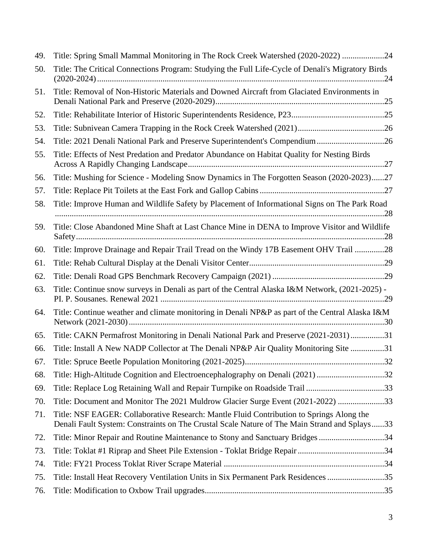| 49. | Title: Spring Small Mammal Monitoring in The Rock Creek Watershed (2020-2022) 24                                                                                                         |
|-----|------------------------------------------------------------------------------------------------------------------------------------------------------------------------------------------|
| 50. | Title: The Critical Connections Program: Studying the Full Life-Cycle of Denali's Migratory Birds                                                                                        |
| 51. | Title: Removal of Non-Historic Materials and Downed Aircraft from Glaciated Environments in                                                                                              |
| 52. |                                                                                                                                                                                          |
| 53. |                                                                                                                                                                                          |
| 54. | Title: 2021 Denali National Park and Preserve Superintendent's Compendium26                                                                                                              |
| 55. | Title: Effects of Nest Predation and Predator Abundance on Habitat Quality for Nesting Birds                                                                                             |
| 56. | Title: Mushing for Science - Modeling Snow Dynamics in The Forgotten Season (2020-2023)27                                                                                                |
| 57. |                                                                                                                                                                                          |
| 58. | Title: Improve Human and Wildlife Safety by Placement of Informational Signs on The Park Road                                                                                            |
| 59. | Title: Close Abandoned Mine Shaft at Last Chance Mine in DENA to Improve Visitor and Wildlife                                                                                            |
| 60. | Title: Improve Drainage and Repair Trail Tread on the Windy 17B Easement OHV Trail 28                                                                                                    |
| 61. |                                                                                                                                                                                          |
| 62. |                                                                                                                                                                                          |
| 63. | Title: Continue snow surveys in Denali as part of the Central Alaska I&M Network, (2021-2025) -                                                                                          |
| 64. | Title: Continue weather and climate monitoring in Denali NP&P as part of the Central Alaska I&M                                                                                          |
| 65. | Title: CAKN Permafrost Monitoring in Denali National Park and Preserve (2021-2031)31                                                                                                     |
| 66. | Title: Install A New NADP Collector at The Denali NP&P Air Quality Monitoring Site 31                                                                                                    |
| 67. |                                                                                                                                                                                          |
| 68. | Title: High-Altitude Cognition and Electroencephalography on Denali (2021)32                                                                                                             |
| 69. | Title: Replace Log Retaining Wall and Repair Turnpike on Roadside Trail 33                                                                                                               |
| 70. | Title: Document and Monitor The 2021 Muldrow Glacier Surge Event (2021-2022) 33                                                                                                          |
| 71. | Title: NSF EAGER: Collaborative Research: Mantle Fluid Contribution to Springs Along the<br>Denali Fault System: Constraints on The Crustal Scale Nature of The Main Strand and Splays33 |
| 72. | Title: Minor Repair and Routine Maintenance to Stony and Sanctuary Bridges 34                                                                                                            |
| 73. |                                                                                                                                                                                          |
| 74. |                                                                                                                                                                                          |
| 75. | Title: Install Heat Recovery Ventilation Units in Six Permanent Park Residences 35                                                                                                       |
| 76. |                                                                                                                                                                                          |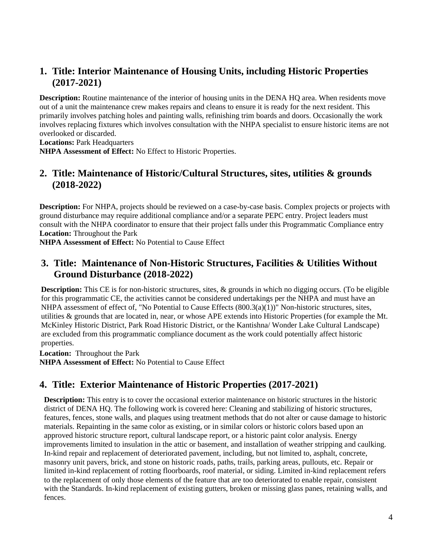# <span id="page-3-0"></span>**1. Title: Interior Maintenance of Housing Units, including Historic Properties (2017-2021)**

**Description:** Routine maintenance of the interior of housing units in the DENA HQ area. When residents move out of a unit the maintenance crew makes repairs and cleans to ensure it is ready for the next resident. This primarily involves patching holes and painting walls, refinishing trim boards and doors. Occasionally the work involves replacing fixtures which involves consultation with the NHPA specialist to ensure historic items are not overlooked or discarded.

**Locations:** Park Headquarters

**NHPA Assessment of Effect:** No Effect to Historic Properties.

# <span id="page-3-1"></span>**2. Title: Maintenance of Historic/Cultural Structures, sites, utilities & grounds (2018-2022)**

 ground disturbance may require additional compliance and/or a separate PEPC entry. Project leaders must consult with the NHPA coordinator to ensure that their project falls under this Programmatic Compliance entry **Location:** Throughout the Park **Description:** For NHPA, projects should be reviewed on a case-by-case basis. Complex projects or projects with

**NHPA Assessment of Effect:** No Potential to Cause Effect

### <span id="page-3-2"></span>**3. Title: Maintenance of Non-Historic Structures, Facilities & Utilities Without Ground Disturbance (2018-2022)**

**Description:** This CE is for non-historic structures, sites, & grounds in which no digging occurs. (To be eligible for this programmatic CE, the activities cannot be considered undertakings per the NHPA and must have an NHPA assessment of effect of, "No Potential to Cause Effects (800.3(a)(1))" Non-historic structures, sites, utilities & grounds that are located in, near, or whose APE extends into Historic Properties (for example the Mt. McKinley Historic District, Park Road Historic District, or the Kantishna/ Wonder Lake Cultural Landscape) are excluded from this programmatic compliance document as the work could potentially affect historic properties.

**Location:** Throughout the Park **NHPA Assessment of Effect:** No Potential to Cause Effect

# <span id="page-3-3"></span>**4. Title: Exterior Maintenance of Historic Properties (2017-2021)**

 features, fences, stone walls, and plaques using treatment methods that do not alter or cause damage to historic **Description:** This entry is to cover the occasional exterior maintenance on historic structures in the historic district of DENA HQ. The following work is covered here: Cleaning and stabilizing of historic structures, materials. Repainting in the same color as existing, or in similar colors or historic colors based upon an approved historic structure report, cultural landscape report, or a historic paint color analysis. Energy improvements limited to insulation in the attic or basement, and installation of weather stripping and caulking. In-kind repair and replacement of deteriorated pavement, including, but not limited to, asphalt, concrete, masonry unit pavers, brick, and stone on historic roads, paths, trails, parking areas, pullouts, etc. Repair or limited in-kind replacement of rotting floorboards, roof material, or siding. Limited in-kind replacement refers to the replacement of only those elements of the feature that are too deteriorated to enable repair, consistent with the Standards. In-kind replacement of existing gutters, broken or missing glass panes, retaining walls, and fences.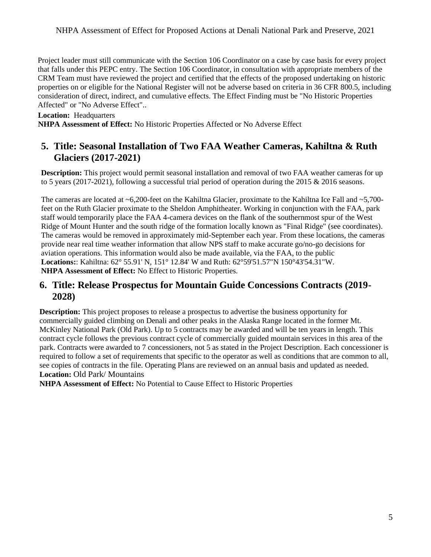Project leader must still communicate with the Section 106 Coordinator on a case by case basis for every project CRM Team must have reviewed the project and certified that the effects of the proposed undertaking on historic that falls under this PEPC entry. The Section 106 Coordinator, in consultation with appropriate members of the properties on or eligible for the National Register will not be adverse based on criteria in 36 CFR 800.5, including consideration of direct, indirect, and cumulative effects. The Effect Finding must be "No Historic Properties Affected" or "No Adverse Effect"..

#### **Location:** Headquarters

**NHPA Assessment of Effect:** No Historic Properties Affected or No Adverse Effect

# <span id="page-4-0"></span>**5. Title: Seasonal Installation of Two FAA Weather Cameras, Kahiltna & Ruth Glaciers (2017-2021)**

**Description:** This project would permit seasonal installation and removal of two FAA weather cameras for up to 5 years (2017-2021), following a successful trial period of operation during the 2015 & 2016 seasons.

 provide near real time weather information that allow NPS staff to make accurate go/no-go decisions for The cameras are located at ~6,200-feet on the Kahiltna Glacier, proximate to the Kahiltna Ice Fall and ~5,700 feet on the Ruth Glacier proximate to the Sheldon Amphitheater. Working in conjunction with the FAA, park staff would temporarily place the FAA 4-camera devices on the flank of the southernmost spur of the West Ridge of Mount Hunter and the south ridge of the formation locally known as "Final Ridge" (see coordinates). The cameras would be removed in approximately mid-September each year. From these locations, the cameras aviation operations. This information would also be made available, via the FAA, to the public **Locations:**: Kahiltna: 62° 55.91' N, 151° 12.84' W and Ruth: 62°59'51.57"N 150°43'54.31"W. **NHPA Assessment of Effect:** No Effect to Historic Properties.

#### <span id="page-4-1"></span>**6. Title: Release Prospectus for Mountain Guide Concessions Contracts (2019- 2028)**

**Description:** This project proposes to release a prospectus to advertise the business opportunity for commercially guided climbing on Denali and other peaks in the Alaska Range located in the former Mt. McKinley National Park (Old Park). Up to 5 contracts may be awarded and will be ten years in length. This contract cycle follows the previous contract cycle of commercially guided mountain services in this area of the park. Contracts were awarded to 7 concessioners, not 5 as stated in the Project Description. Each concessioner is required to follow a set of requirements that specific to the operator as well as conditions that are common to all, see copies of contracts in the file. Operating Plans are reviewed on an annual basis and updated as needed. **Location:** Old Park/ Mountains

**NHPA Assessment of Effect:** No Potential to Cause Effect to Historic Properties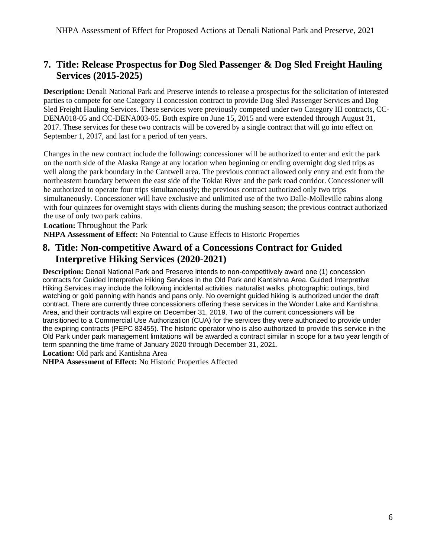# <span id="page-5-0"></span>**7. Title: Release Prospectus for Dog Sled Passenger & Dog Sled Freight Hauling Services (2015-2025)**

 September 1, 2017, and last for a period of ten years. **Description:** Denali National Park and Preserve intends to release a prospectus for the solicitation of interested parties to compete for one Category II concession contract to provide Dog Sled Passenger Services and Dog Sled Freight Hauling Services. These services were previously competed under two Category III contracts, CC-DENA018-05 and CC-DENA003-05. Both expire on June 15, 2015 and were extended through August 31, 2017. These services for these two contracts will be covered by a single contract that will go into effect on

 well along the park boundary in the Cantwell area. The previous contract allowed only entry and exit from the Changes in the new contract include the following: concessioner will be authorized to enter and exit the park on the north side of the Alaska Range at any location when beginning or ending overnight dog sled trips as northeastern boundary between the east side of the Toklat River and the park road corridor. Concessioner will be authorized to operate four trips simultaneously; the previous contract authorized only two trips simultaneously. Concessioner will have exclusive and unlimited use of the two Dalle-Molleville cabins along with four quinzees for overnight stays with clients during the mushing season; the previous contract authorized the use of only two park cabins.

**Location:** Throughout the Park

**NHPA Assessment of Effect:** No Potential to Cause Effects to Historic Properties

### <span id="page-5-1"></span>**8. Title: Non-competitive Award of a Concessions Contract for Guided Interpretive Hiking Services (2020-2021)**

 Area, and their contracts will expire on December 31, 2019. Two of the current concessioners will be transitioned to a Commercial Use Authorization (CUA) for the services they were authorized to provide under **Description:** Denali National Park and Preserve intends to non-competitively award one (1) concession contracts for Guided Interpretive Hiking Services in the Old Park and Kantishna Area. Guided Interpretive Hiking Services may include the following incidental activities: naturalist walks, photographic outings, bird watching or gold panning with hands and pans only. No overnight guided hiking is authorized under the draft contract. There are currently three concessioners offering these services in the Wonder Lake and Kantishna the expiring contracts (PEPC 83455). The historic operator who is also authorized to provide this service in the Old Park under park management limitations will be awarded a contract similar in scope for a two year length of term spanning the time frame of January 2020 through December 31, 2021.

**Location:** Old park and Kantishna Area

**NHPA Assessment of Effect:** No Historic Properties Affected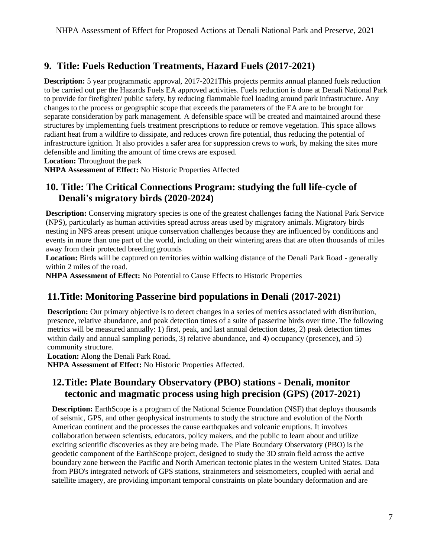# <span id="page-6-0"></span>**9. Title: Fuels Reduction Treatments, Hazard Fuels (2017-2021)**

 changes to the process or geographic scope that exceeds the parameters of the EA are to be brought for infrastructure ignition. It also provides a safer area for suppression crews to work, by making the sites more **Description:** 5 year programmatic approval, 2017-2021This projects permits annual planned fuels reduction to be carried out per the Hazards Fuels EA approved activities. Fuels reduction is done at Denali National Park to provide for firefighter/ public safety, by reducing flammable fuel loading around park infrastructure. Any separate consideration by park management. A defensible space will be created and maintained around these structures by implementing fuels treatment prescriptions to reduce or remove vegetation. This space allows radiant heat from a wildfire to dissipate, and reduces crown fire potential, thus reducing the potential of defensible and limiting the amount of time crews are exposed.

**Location:** Throughout the park

**NHPA Assessment of Effect:** No Historic Properties Affected

# <span id="page-6-1"></span>**10. Title: The Critical Connections Program: studying the full life-cycle of Denali's migratory birds (2020-2024)**

**Description:** Conserving migratory species is one of the greatest challenges facing the National Park Service (NPS), particularly as human activities spread across areas used by migratory animals. Migratory birds nesting in NPS areas present unique conservation challenges because they are influenced by conditions and events in more than one part of the world, including on their wintering areas that are often thousands of miles away from their protected breeding grounds

**Location:** Birds will be captured on territories within walking distance of the Denali Park Road - generally within 2 miles of the road.

**NHPA Assessment of Effect:** No Potential to Cause Effects to Historic Properties

# <span id="page-6-2"></span>**11.Title: Monitoring Passerine bird populations in Denali (2017-2021)**

 **Description:** Our primary objective is to detect changes in a series of metrics associated with distribution, within daily and annual sampling periods, 3) relative abundance, and 4) occupancy (presence), and 5) presence, relative abundance, and peak detection times of a suite of passerine birds over time. The following metrics will be measured annually: 1) first, peak, and last annual detection dates, 2) peak detection times community structure.

**Location:** Along the Denali Park Road.

**NHPA Assessment of Effect:** No Historic Properties Affected.

# <span id="page-6-3"></span>**12.Title: Plate Boundary Observatory (PBO) stations - Denali, monitor tectonic and magmatic process using high precision (GPS) (2017-2021)**

 of seismic, GPS, and other geophysical instruments to study the structure and evolution of the North collaboration between scientists, educators, policy makers, and the public to learn about and utilize **Description:** EarthScope is a program of the National Science Foundation (NSF) that deploys thousands American continent and the processes the cause earthquakes and volcanic eruptions. It involves exciting scientific discoveries as they are being made. The Plate Boundary Observatory (PBO) is the geodetic component of the EarthScope project, designed to study the 3D strain field across the active boundary zone between the Pacific and North American tectonic plates in the western United States. Data from PBO's integrated network of GPS stations, strainmeters and seismometers, coupled with aerial and satellite imagery, are providing important temporal constraints on plate boundary deformation and are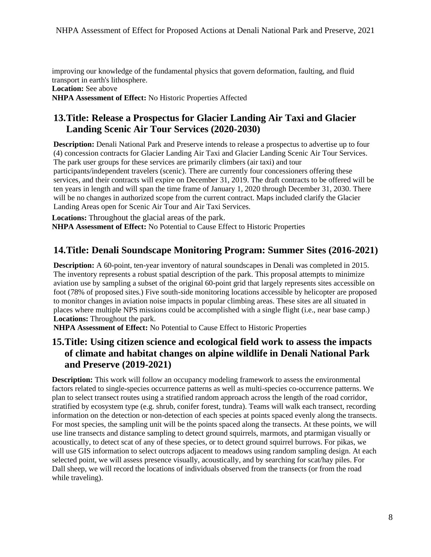improving our knowledge of the fundamental physics that govern deformation, faulting, and fluid transport in earth's lithosphere. **Location:** See above **NHPA Assessment of Effect:** No Historic Properties Affected

# <span id="page-7-0"></span>**13.Title: Release a Prospectus for Glacier Landing Air Taxi and Glacier Landing Scenic Air Tour Services (2020-2030)**

 will be no changes in authorized scope from the current contract. Maps included clarify the Glacier **Description:** Denali National Park and Preserve intends to release a prospectus to advertise up to four (4) concession contracts for Glacier Landing Air Taxi and Glacier Landing Scenic Air Tour Services. The park user groups for these services are primarily climbers (air taxi) and tour participants/independent travelers (scenic). There are currently four concessioners offering these services, and their contracts will expire on December 31, 2019. The draft contracts to be offered will be ten years in length and will span the time frame of January 1, 2020 through December 31, 2030. There Landing Areas open for Scenic Air Tour and Air Taxi Services.

**Locations:** Throughout the glacial areas of the park. **NHPA Assessment of Effect:** No Potential to Cause Effect to Historic Properties

# <span id="page-7-1"></span>**14.Title: Denali Soundscape Monitoring Program: Summer Sites (2016-2021)**

 **Description:** A 60-point, ten-year inventory of natural soundscapes in Denali was completed in 2015. The inventory represents a robust spatial description of the park. This proposal attempts to minimize aviation use by sampling a subset of the original 60-point grid that largely represents sites accessible on foot (78% of proposed sites.) Five south-side monitoring locations accessible by helicopter are proposed to monitor changes in aviation noise impacts in popular climbing areas. These sites are all situated in places where multiple NPS missions could be accomplished with a single flight (i.e., near base camp.) **Locations:** Throughout the park.

**NHPA Assessment of Effect:** No Potential to Cause Effect to Historic Properties

# <span id="page-7-2"></span>**15.Title: Using citizen science and ecological field work to assess the impacts of climate and habitat changes on alpine wildlife in Denali National Park and Preserve (2019-2021)**

 factors related to single-species occurrence patterns as well as multi-species co-occurrence patterns. We plan to select transect routes using a stratified random approach across the length of the road corridor, acoustically, to detect scat of any of these species, or to detect ground squirrel burrows. For pikas, we Dall sheep, we will record the locations of individuals observed from the transects (or from the road **Description:** This work will follow an occupancy modeling framework to assess the environmental stratified by ecosystem type (e.g. shrub, conifer forest, tundra). Teams will walk each transect, recording information on the detection or non-detection of each species at points spaced evenly along the transects. For most species, the sampling unit will be the points spaced along the transects. At these points, we will use line transects and distance sampling to detect ground squirrels, marmots, and ptarmigan visually or will use GIS information to select outcrops adjacent to meadows using random sampling design. At each selected point, we will assess presence visually, acoustically, and by searching for scat/hay piles. For while traveling).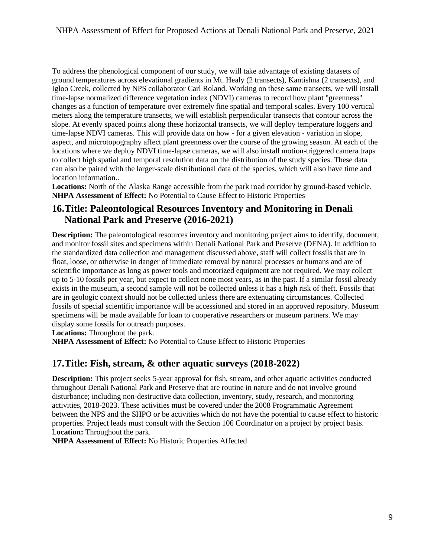aspect, and microtopography affect plant greenness over the course of the growing season. At each of the To address the phenological component of our study, we will take advantage of existing datasets of ground temperatures across elevational gradients in Mt. Healy (2 transects), Kantishna (2 transects), and Igloo Creek, collected by NPS collaborator Carl Roland. Working on these same transects, we will install time-lapse normalized difference vegetation index (NDVI) cameras to record how plant "greenness" changes as a function of temperature over extremely fine spatial and temporal scales. Every 100 vertical meters along the temperature transects, we will establish perpendicular transects that contour across the slope. At evenly spaced points along these horizontal transects, we will deploy temperature loggers and time-lapse NDVI cameras. This will provide data on how - for a given elevation - variation in slope, locations where we deploy NDVI time-lapse cameras, we will also install motion-triggered camera traps to collect high spatial and temporal resolution data on the distribution of the study species. These data can also be paired with the larger-scale distributional data of the species, which will also have time and location information..

**Locations:** North of the Alaska Range accessible from the park road corridor by ground-based vehicle. **NHPA Assessment of Effect:** No Potential to Cause Effect to Historic Properties

# <span id="page-8-0"></span> **16.Title: Paleontological Resources Inventory and Monitoring in Denali National Park and Preserve (2016-2021)**

 **Description:** The paleontological resources inventory and monitoring project aims to identify, document, float, loose, or otherwise in danger of immediate removal by natural processes or humans and are of scientific importance as long as power tools and motorized equipment are not required. We may collect exists in the museum, a second sample will not be collected unless it has a high risk of theft. Fossils that and monitor fossil sites and specimens within Denali National Park and Preserve (DENA). In addition to the standardized data collection and management discussed above, staff will collect fossils that are in up to 5-10 fossils per year, but expect to collect none most years, as in the past. If a similar fossil already are in geologic context should not be collected unless there are extenuating circumstances. Collected fossils of special scientific importance will be accessioned and stored in an approved repository. Museum specimens will be made available for loan to cooperative researchers or museum partners. We may display some fossils for outreach purposes.

**Locations:** Throughout the park.

**NHPA Assessment of Effect:** No Potential to Cause Effect to Historic Properties

### <span id="page-8-1"></span>**17.Title: Fish, stream, & other aquatic surveys (2018-2022)**

 between the NPS and the SHPO or be activities which do not have the potential to cause effect to historic **Description:** This project seeks 5-year approval for fish, stream, and other aquatic activities conducted throughout Denali National Park and Preserve that are routine in nature and do not involve ground disturbance; including non-destructive data collection, inventory, study, research, and monitoring activities, 2018-2023. These activities must be covered under the 2008 Programmatic Agreement properties. Project leads must consult with the Section 106 Coordinator on a project by project basis. L**ocation:** Throughout the park.

**NHPA Assessment of Effect:** No Historic Properties Affected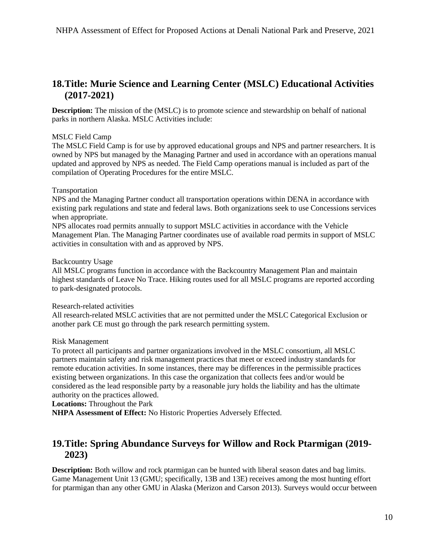# <span id="page-9-0"></span> **18.Title: Murie Science and Learning Center (MSLC) Educational Activities (2017-2021)**

**Description:** The mission of the (MSLC) is to promote science and stewardship on behalf of national parks in northern Alaska. MSLC Activities include:

#### MSLC Field Camp

 The MSLC Field Camp is for use by approved educational groups and NPS and partner researchers. It is owned by NPS but managed by the Managing Partner and used in accordance with an operations manual updated and approved by NPS as needed. The Field Camp operations manual is included as part of the compilation of Operating Procedures for the entire MSLC.

#### Transportation

NPS and the Managing Partner conduct all transportation operations within DENA in accordance with existing park regulations and state and federal laws. Both organizations seek to use Concessions services when appropriate.

 NPS allocates road permits annually to support MSLC activities in accordance with the Vehicle Management Plan. The Managing Partner coordinates use of available road permits in support of MSLC activities in consultation with and as approved by NPS.

#### Backcountry Usage

All MSLC programs function in accordance with the Backcountry Management Plan and maintain highest standards of Leave No Trace. Hiking routes used for all MSLC programs are reported according to park-designated protocols.

#### Research-related activities

 All research-related MSLC activities that are not permitted under the MSLC Categorical Exclusion or another park CE must go through the park research permitting system.

#### Risk Management

To protect all participants and partner organizations involved in the MSLC consortium, all MSLC partners maintain safety and risk management practices that meet or exceed industry standards for remote education activities. In some instances, there may be differences in the permissible practices existing between organizations. In this case the organization that collects fees and/or would be considered as the lead responsible party by a reasonable jury holds the liability and has the ultimate authority on the practices allowed.

#### **Locations:** Throughout the Park

**NHPA Assessment of Effect:** No Historic Properties Adversely Effected.

# <span id="page-9-1"></span>**19.Title: Spring Abundance Surveys for Willow and Rock Ptarmigan (2019- 2023)**

**Description:** Both willow and rock ptarmigan can be hunted with liberal season dates and bag limits. Game Management Unit 13 (GMU; specifically, 13B and 13E) receives among the most hunting effort for ptarmigan than any other GMU in Alaska (Merizon and Carson 2013). Surveys would occur between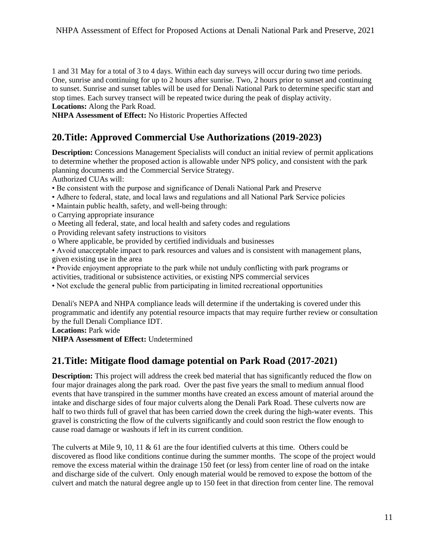1 and 31 May for a total of 3 to 4 days. Within each day surveys will occur during two time periods. One, sunrise and continuing for up to 2 hours after sunrise. Two, 2 hours prior to sunset and continuing to sunset. Sunrise and sunset tables will be used for Denali National Park to determine specific start and stop times. Each survey transect will be repeated twice during the peak of display activity. **Locations:** Along the Park Road.

**NHPA Assessment of Effect:** No Historic Properties Affected

# <span id="page-10-0"></span>**20.Title: Approved Commercial Use Authorizations (2019-2023)**

**Description:** Concessions Management Specialists will conduct an initial review of permit applications to determine whether the proposed action is allowable under NPS policy, and consistent with the park planning documents and the Commercial Service Strategy.

Authorized CUAs will:

- Be consistent with the purpose and significance of Denali National Park and Preserve
- Adhere to federal, state, and local laws and regulations and all National Park Service policies
- Maintain public health, safety, and well-being through:
- o Carrying appropriate insurance
- o Meeting all federal, state, and local health and safety codes and regulations
- o Providing relevant safety instructions to visitors
- o Where applicable, be provided by certified individuals and businesses

• Avoid unacceptable impact to park resources and values and is consistent with management plans, given existing use in the area

• Provide enjoyment appropriate to the park while not unduly conflicting with park programs or activities, traditional or subsistence activities, or existing NPS commercial services

• Not exclude the general public from participating in limited recreational opportunities

Denali's NEPA and NHPA compliance leads will determine if the undertaking is covered under this programmatic and identify any potential resource impacts that may require further review or consultation by the full Denali Compliance IDT.

**Locations:** Park wide

**NHPA Assessment of Effect:** Undetermined

# <span id="page-10-1"></span>**21.Title: Mitigate flood damage potential on Park Road (2017-2021)**

**Description:** This project will address the creek bed material that has significantly reduced the flow on events that have transpired in the summer months have created an excess amount of material around the intake and discharge sides of four major culverts along the Denali Park Road. These culverts now are cause road damage or washouts if left in its current condition. four major drainages along the park road. Over the past five years the small to medium annual flood half to two thirds full of gravel that has been carried down the creek during the high-water events. This gravel is constricting the flow of the culverts significantly and could soon restrict the flow enough to

 remove the excess material within the drainage 150 feet (or less) from center line of road on the intake culvert and match the natural degree angle up to 150 feet in that direction from center line. The removal The culverts at Mile 9, 10, 11 & 61 are the four identified culverts at this time. Others could be discovered as flood like conditions continue during the summer months. The scope of the project would and discharge side of the culvert. Only enough material would be removed to expose the bottom of the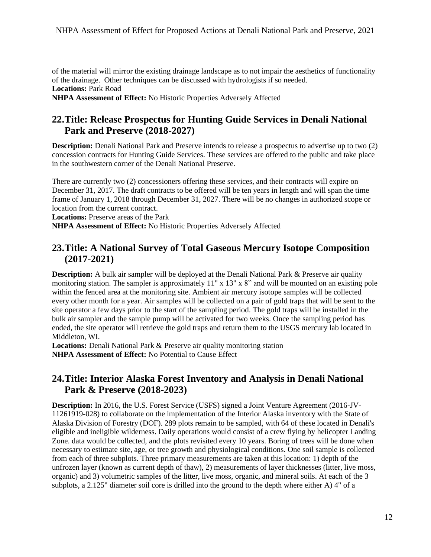of the material will mirror the existing drainage landscape as to not impair the aesthetics of functionality of the drainage. Other techniques can be discussed with hydrologists if so needed. **Locations:** Park Road

**NHPA Assessment of Effect:** No Historic Properties Adversely Affected

# <span id="page-11-0"></span>**22.Title: Release Prospectus for Hunting Guide Services in Denali National Park and Preserve (2018-2027)**

**Description:** Denali National Park and Preserve intends to release a prospectus to advertise up to two (2) concession contracts for Hunting Guide Services. These services are offered to the public and take place in the southwestern corner of the Denali National Preserve.

There are currently two (2) concessioners offering these services, and their contracts will expire on December 31, 2017. The draft contracts to be offered will be ten years in length and will span the time frame of January 1, 2018 through December 31, 2027. There will be no changes in authorized scope or location from the current contract.

**Locations:** Preserve areas of the Park

**NHPA Assessment of Effect:** No Historic Properties Adversely Affected

## <span id="page-11-1"></span>**23.Title: A National Survey of Total Gaseous Mercury Isotope Composition (2017-2021)**

 within the fenced area at the monitoring site. Ambient air mercury isotope samples will be collected every other month for a year. Air samples will be collected on a pair of gold traps that will be sent to the bulk air sampler and the sample pump will be activated for two weeks. Once the sampling period has **Description:** A bulk air sampler will be deployed at the Denali National Park & Preserve air quality monitoring station. The sampler is approximately  $11" \times 13" \times 8"$  and will be mounted on an existing pole site operator a few days prior to the start of the sampling period. The gold traps will be installed in the ended, the site operator will retrieve the gold traps and return them to the USGS mercury lab located in Middleton, WI.

**Locations:** Denali National Park & Preserve air quality monitoring station **NHPA Assessment of Effect:** No Potential to Cause Effect

# <span id="page-11-2"></span> **24.Title: Interior Alaska Forest Inventory and Analysis in Denali National Park & Preserve (2018-2023)**

 unfrozen layer (known as current depth of thaw), 2) measurements of layer thicknesses (litter, live moss, **Description:** In 2016, the U.S. Forest Service (USFS) signed a Joint Venture Agreement (2016-JV-11261919-028) to collaborate on the implementation of the Interior Alaska inventory with the State of Alaska Division of Forestry (DOF). 289 plots remain to be sampled, with 64 of these located in Denali's eligible and ineligible wilderness. Daily operations would consist of a crew flying by helicopter Landing Zone. data would be collected, and the plots revisited every 10 years. Boring of trees will be done when necessary to estimate site, age, or tree growth and physiological conditions. One soil sample is collected from each of three subplots. Three primary measurements are taken at this location: 1) depth of the organic) and 3) volumetric samples of the litter, live moss, organic, and mineral soils. At each of the 3 subplots, a 2.125" diameter soil core is drilled into the ground to the depth where either A) 4" of a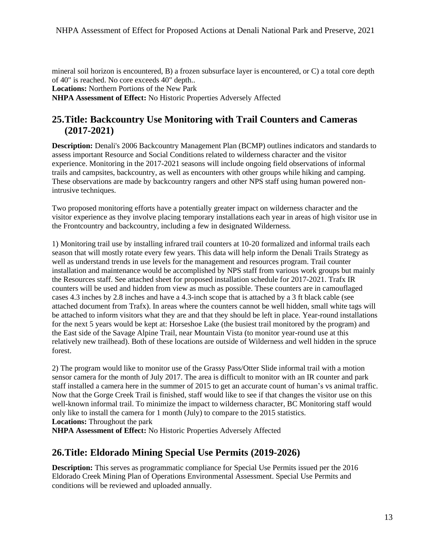mineral soil horizon is encountered, B) a frozen subsurface layer is encountered, or C) a total core depth of 40" is reached. No core exceeds 40" depth.. **Locations:** Northern Portions of the New Park **NHPA Assessment of Effect:** No Historic Properties Adversely Affected

### <span id="page-12-0"></span>**25.Title: Backcountry Use Monitoring with Trail Counters and Cameras (2017-2021)**

 **Description:** Denali's 2006 Backcountry Management Plan (BCMP) outlines indicators and standards to experience. Monitoring in the 2017-2021 seasons will include ongoing field observations of informal assess important Resource and Social Conditions related to wilderness character and the visitor trails and campsites, backcountry, as well as encounters with other groups while hiking and camping. These observations are made by backcountry rangers and other NPS staff using human powered nonintrusive techniques.

 visitor experience as they involve placing temporary installations each year in areas of high visitor use in Two proposed monitoring efforts have a potentially greater impact on wilderness character and the the Frontcountry and backcountry, including a few in designated Wilderness.

 for the next 5 years would be kept at: Horseshoe Lake (the busiest trail monitored by the program) and the East side of the Savage Alpine Trail, near Mountain Vista (to monitor year-round use at this 1) Monitoring trail use by installing infrared trail counters at 10-20 formalized and informal trails each season that will mostly rotate every few years. This data will help inform the Denali Trails Strategy as well as understand trends in use levels for the management and resources program. Trail counter installation and maintenance would be accomplished by NPS staff from various work groups but mainly the Resources staff. See attached sheet for proposed installation schedule for 2017-2021. Trafx IR counters will be used and hidden from view as much as possible. These counters are in camouflaged cases 4.3 inches by 2.8 inches and have a 4.3-inch scope that is attached by a 3 ft black cable (see attached document from Trafx). In areas where the counters cannot be well hidden, small white tags will be attached to inform visitors what they are and that they should be left in place. Year-round installations relatively new trailhead). Both of these locations are outside of Wilderness and well hidden in the spruce forest.

 2) The program would like to monitor use of the Grassy Pass/Otter Slide informal trail with a motion Now that the Gorge Creek Trail is finished, staff would like to see if that changes the visitor use on this sensor camera for the month of July 2017. The area is difficult to monitor with an IR counter and park staff installed a camera here in the summer of 2015 to get an accurate count of human's vs animal traffic. well-known informal trail. To minimize the impact to wilderness character, BC Monitoring staff would only like to install the camera for 1 month (July) to compare to the 2015 statistics. **Locations:** Throughout the park

**NHPA Assessment of Effect:** No Historic Properties Adversely Affected

### <span id="page-12-1"></span>**26.Title: Eldorado Mining Special Use Permits (2019-2026)**

**Description:** This serves as programmatic compliance for Special Use Permits issued per the 2016 Eldorado Creek Mining Plan of Operations Environmental Assessment. Special Use Permits and conditions will be reviewed and uploaded annually.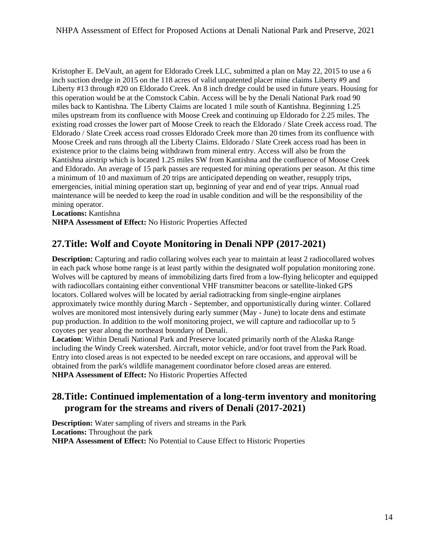emergencies, initial mining operation start up, beginning of year and end of year trips. Annual road Kristopher E. DeVault, an agent for Eldorado Creek LLC, submitted a plan on May 22, 2015 to use a 6 inch suction dredge in 2015 on the 118 acres of valid unpatented placer mine claims Liberty #9 and Liberty #13 through #20 on Eldorado Creek. An 8 inch dredge could be used in future years. Housing for this operation would be at the Comstock Cabin. Access will be by the Denali National Park road 90 miles back to Kantishna. The Liberty Claims are located 1 mile south of Kantishna. Beginning 1.25 miles upstream from its confluence with Moose Creek and continuing up Eldorado for 2.25 miles. The existing road crosses the lower part of Moose Creek to reach the Eldorado / Slate Creek access road. The Eldorado / Slate Creek access road crosses Eldorado Creek more than 20 times from its confluence with Moose Creek and runs through all the Liberty Claims. Eldorado / Slate Creek access road has been in existence prior to the claims being withdrawn from mineral entry. Access will also be from the Kantishna airstrip which is located 1.25 miles SW from Kantishna and the confluence of Moose Creek and Eldorado. An average of 15 park passes are requested for mining operations per season. At this time a minimum of 10 and maximum of 20 trips are anticipated depending on weather, resupply trips, maintenance will be needed to keep the road in usable condition and will be the responsibility of the mining operator.

**Locations:** Kantishna

**NHPA Assessment of Effect:** No Historic Properties Affected

# <span id="page-13-0"></span> **27.Title: Wolf and Coyote Monitoring in Denali NPP (2017-2021)**

**Description:** Capturing and radio collaring wolves each year to maintain at least 2 radiocollared wolves in each pack whose home range is at least partly within the designated wolf population monitoring zone. Wolves will be captured by means of immobilizing darts fired from a low-flying helicopter and equipped with radiocollars containing either conventional VHF transmitter beacons or satellite-linked GPS locators. Collared wolves will be located by aerial radiotracking from single-engine airplanes approximately twice monthly during March - September, and opportunistically during winter. Collared wolves are monitored most intensively during early summer (May - June) to locate dens and estimate pup production. In addition to the wolf monitoring project, we will capture and radiocollar up to 5 coyotes per year along the northeast boundary of Denali.

 including the Windy Creek watershed. Aircraft, motor vehicle, and/or foot travel from the Park Road. **Location**: Within Denali National Park and Preserve located primarily north of the Alaska Range Entry into closed areas is not expected to be needed except on rare occasions, and approval will be obtained from the park's wildlife management coordinator before closed areas are entered. **NHPA Assessment of Effect:** No Historic Properties Affected

# <span id="page-13-1"></span> **program for the streams and rivers of Denali (2017-2021) 28.Title: Continued implementation of a long-term inventory and monitoring**

**Description:** Water sampling of rivers and streams in the Park **Locations:** Throughout the park **NHPA Assessment of Effect:** No Potential to Cause Effect to Historic Properties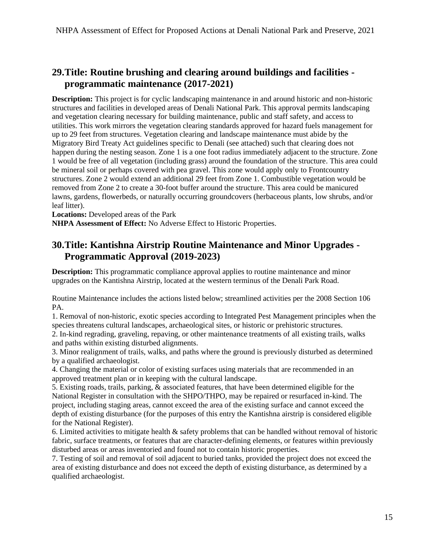# <span id="page-14-0"></span>**29.Title: Routine brushing and clearing around buildings and facilities programmatic maintenance (2017-2021)**

 **Description:** This project is for cyclic landscaping maintenance in and around historic and non-historic utilities. This work mirrors the vegetation clearing standards approved for hazard fuels management for up to 29 feet from structures. Vegetation clearing and landscape maintenance must abide by the Migratory Bird Treaty Act guidelines specific to Denali (see attached) such that clearing does not happen during the nesting season. Zone 1 is a one foot radius immediately adjacent to the structure. Zone structures and facilities in developed areas of Denali National Park. This approval permits landscaping and vegetation clearing necessary for building maintenance, public and staff safety, and access to 1 would be free of all vegetation (including grass) around the foundation of the structure. This area could be mineral soil or perhaps covered with pea gravel. This zone would apply only to Frontcountry structures. Zone 2 would extend an additional 29 feet from Zone 1. Combustible vegetation would be removed from Zone 2 to create a 30-foot buffer around the structure. This area could be manicured lawns, gardens, flowerbeds, or naturally occurring groundcovers (herbaceous plants, low shrubs, and/or leaf litter).

**Locations:** Developed areas of the Park

**NHPA Assessment of Effect:** No Adverse Effect to Historic Properties.

# <span id="page-14-1"></span>**30.Title: Kantishna Airstrip Routine Maintenance and Minor Upgrades - Programmatic Approval (2019-2023)**

**Description:** This programmatic compliance approval applies to routine maintenance and minor upgrades on the Kantishna Airstrip, located at the western terminus of the Denali Park Road.

Routine Maintenance includes the actions listed below; streamlined activities per the 2008 Section 106 PA.

1. Removal of non-historic, exotic species according to Integrated Pest Management principles when the species threatens cultural landscapes, archaeological sites, or historic or prehistoric structures.

2. In-kind regrading, graveling, repaving, or other maintenance treatments of all existing trails, walks and paths within existing disturbed alignments.

 3. Minor realignment of trails, walks, and paths where the ground is previously disturbed as determined by a qualified archaeologist.

4. Changing the material or color of existing surfaces using materials that are recommended in an approved treatment plan or in keeping with the cultural landscape.

5. Existing roads, trails, parking, & associated features, that have been determined eligible for the National Register in consultation with the SHPO/THPO, may be repaired or resurfaced in-kind. The project, including staging areas, cannot exceed the area of the existing surface and cannot exceed the depth of existing disturbance (for the purposes of this entry the Kantishna airstrip is considered eligible for the National Register).

6. Limited activities to mitigate health & safety problems that can be handled without removal of historic fabric, surface treatments, or features that are character-defining elements, or features within previously disturbed areas or areas inventoried and found not to contain historic properties.

 7. Testing of soil and removal of soil adjacent to buried tanks, provided the project does not exceed the area of existing disturbance and does not exceed the depth of existing disturbance, as determined by a qualified archaeologist.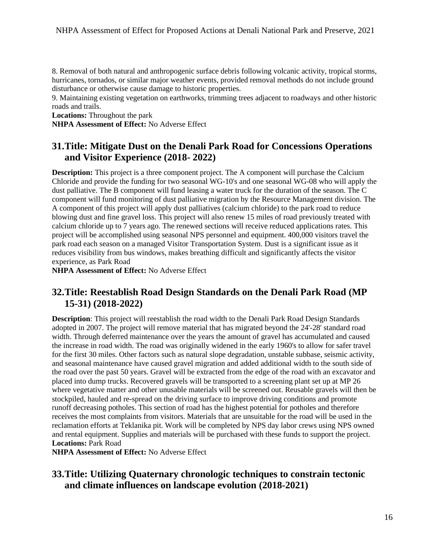8. Removal of both natural and anthropogenic surface debris following volcanic activity, tropical storms, hurricanes, tornados, or similar major weather events, provided removal methods do not include ground disturbance or otherwise cause damage to historic properties.

9. Maintaining existing vegetation on earthworks, trimming trees adjacent to roadways and other historic roads and trails.

**Locations:** Throughout the park **NHPA Assessment of Effect:** No Adverse Effect

# <span id="page-15-0"></span>**31.Title: Mitigate Dust on the Denali Park Road for Concessions Operations and Visitor Experience (2018- 2022)**

 A component of this project will apply dust palliatives (calcium chloride) to the park road to reduce **Description:** This project is a three component project. The A component will purchase the Calcium Chloride and provide the funding for two seasonal WG-10's and one seasonal WG-08 who will apply the dust palliative. The B component will fund leasing a water truck for the duration of the season. The C component will fund monitoring of dust palliative migration by the Resource Management division. The blowing dust and fine gravel loss. This project will also renew 15 miles of road previously treated with calcium chloride up to 7 years ago. The renewed sections will receive reduced applications rates. This project will be accomplished using seasonal NPS personnel and equipment. 400,000 visitors travel the park road each season on a managed Visitor Transportation System. Dust is a significant issue as it reduces visibility from bus windows, makes breathing difficult and significantly affects the visitor experience, as Park Road

**NHPA Assessment of Effect:** No Adverse Effect

### <span id="page-15-1"></span>**32.Title: Reestablish Road Design Standards on the Denali Park Road (MP 15-31) (2018-2022)**

 **Description**: This project will reestablish the road width to the Denali Park Road Design Standards adopted in 2007. The project will remove material that has migrated beyond the 24'-28' standard road runoff decreasing potholes. This section of road has the highest potential for potholes and therefore width. Through deferred maintenance over the years the amount of gravel has accumulated and caused the increase in road width. The road was originally widened in the early 1960's to allow for safer travel for the first 30 miles. Other factors such as natural slope degradation, unstable subbase, seismic activity, and seasonal maintenance have caused gravel migration and added additional width to the south side of the road over the past 50 years. Gravel will be extracted from the edge of the road with an excavator and placed into dump trucks. Recovered gravels will be transported to a screening plant set up at MP 26 where vegetative matter and other unusable materials will be screened out. Reusable gravels will then be stockpiled, hauled and re-spread on the driving surface to improve driving conditions and promote receives the most complaints from visitors. Materials that are unsuitable for the road will be used in the reclamation efforts at Teklanika pit. Work will be completed by NPS day labor crews using NPS owned and rental equipment. Supplies and materials will be purchased with these funds to support the project. **Locations:** Park Road

**NHPA Assessment of Effect:** No Adverse Effect

### <span id="page-15-2"></span>**33.Title: Utilizing Quaternary chronologic techniques to constrain tectonic and climate influences on landscape evolution (2018-2021)**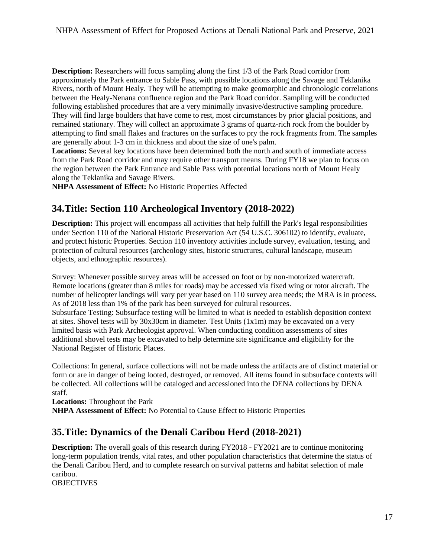**Description:** Researchers will focus sampling along the first 1/3 of the Park Road corridor from approximately the Park entrance to Sable Pass, with possible locations along the Savage and Teklanika Rivers, north of Mount Healy. They will be attempting to make geomorphic and chronologic correlations between the Healy-Nenana confluence region and the Park Road corridor. Sampling will be conducted following established procedures that are a very minimally invasive/destructive sampling procedure. They will find large boulders that have come to rest, most circumstances by prior glacial positions, and remained stationary. They will collect an approximate 3 grams of quartz-rich rock from the boulder by attempting to find small flakes and fractures on the surfaces to pry the rock fragments from. The samples are generally about 1-3 cm in thickness and about the size of one's palm.

**Locations:** Several key locations have been determined both the north and south of immediate access from the Park Road corridor and may require other transport means. During FY18 we plan to focus on the region between the Park Entrance and Sable Pass with potential locations north of Mount Healy along the Teklanika and Savage Rivers.

**NHPA Assessment of Effect:** No Historic Properties Affected

# <span id="page-16-0"></span>**34.Title: Section 110 Archeological Inventory (2018-2022)**

 **Description:** This project will encompass all activities that help fulfill the Park's legal responsibilities under Section 110 of the National Historic Preservation Act (54 U.S.C. 306102) to identify, evaluate, and protect historic Properties. Section 110 inventory activities include survey, evaluation, testing, and protection of cultural resources (archeology sites, historic structures, cultural landscape, museum objects, and ethnographic resources).

 Remote locations (greater than 8 miles for roads) may be accessed via fixed wing or rotor aircraft. The As of 2018 less than 1% of the park has been surveyed for cultural resources. Survey: Whenever possible survey areas will be accessed on foot or by non-motorized watercraft. number of helicopter landings will vary per year based on 110 survey area needs; the MRA is in process.

 additional shovel tests may be excavated to help determine site significance and eligibility for the Subsurface Testing: Subsurface testing will be limited to what is needed to establish deposition context at sites. Shovel tests will by  $30x30cm$  in diameter. Test Units  $(1x1m)$  may be excavated on a very limited basis with Park Archeologist approval. When conducting condition assessments of sites National Register of Historic Places.

 Collections: In general, surface collections will not be made unless the artifacts are of distinct material or form or are in danger of being looted, destroyed, or removed. All items found in subsurface contexts will be collected. All collections will be cataloged and accessioned into the DENA collections by DENA staff.

**Locations:** Throughout the Park **NHPA Assessment of Effect:** No Potential to Cause Effect to Historic Properties

# <span id="page-16-1"></span>**35.Title: Dynamics of the Denali Caribou Herd (2018-2021)**

**Description:** The overall goals of this research during FY2018 - FY2021 are to continue monitoring long-term population trends, vital rates, and other population characteristics that determine the status of the Denali Caribou Herd, and to complete research on survival patterns and habitat selection of male caribou.

**OBJECTIVES**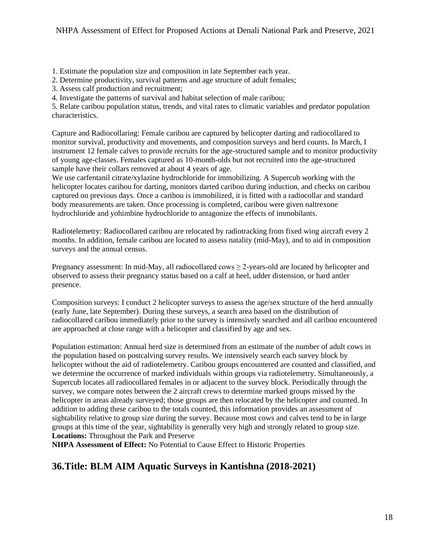1. Estimate the population size and composition in late September each year.

2. Determine productivity, survival patterns and age structure of adult females;

3. Assess calf production and recruitment;

4. Investigate the patterns of survival and habitat selection of male caribou;

5. Relate caribou population status, trends, and vital rates to climatic variables and predator population characteristics.

Capture and Radiocollaring: Female caribou are captured by helicopter darting and radiocollared to monitor survival, productivity and movements, and composition surveys and herd counts. In March, I instrument 12 female calves to provide recruits for the age-structured sample and to monitor productivity of young age-classes. Females captured as 10-month-olds but not recruited into the age-structured sample have their collars removed at about 4 years of age.

We use carfentanil citrate/xylazine hydrochloride for immobilizing. A Supercub working with the helicopter locates caribou for darting, monitors darted caribou during induction, and checks on caribou captured on previous days. Once a caribou is immobilized, it is fitted with a radiocollar and standard body measurements are taken. Once processing is completed, caribou were given naltrexone hydrochloride and yohimbine hydrochloride to antagonize the effects of immobilants.

Radiotelemetry: Radiocollared caribou are relocated by radiotracking from fixed wing aircraft every 2 months. In addition, female caribou are located to assess natality (mid-May), and to aid in composition surveys and the annual census.

Pregnancy assessment: In mid-May, all radiocollared cows  $\geq$  2-years-old are located by helicopter and observed to assess their pregnancy status based on a calf at heel, udder distension, or hard antler presence.

Composition surveys: I conduct 2 helicopter surveys to assess the age/sex structure of the herd annually (early June, late September). During these surveys, a search area based on the distribution of radiocollared caribou immediately prior to the survey is intensively searched and all caribou encountered are approached at close range with a helicopter and classified by age and sex.

 Population estimation: Annual herd size is determined from an estimate of the number of adult cows in the population based on postcalving survey results. We intensively search each survey block by helicopter without the aid of radiotelemetry. Caribou groups encountered are counted and classified, and we determine the occurrence of marked individuals within groups via radiotelemetry. Simultaneously, a Supercub locates all radiocollared females in or adjacent to the survey block. Periodically through the survey, we compare notes between the 2 aircraft crews to determine marked groups missed by the helicopter in areas already surveyed; those groups are then relocated by the helicopter and counted. In addition to adding these caribou to the totals counted, this information provides an assessment of sightability relative to group size during the survey. Because most cows and calves tend to be in large groups at this time of the year, sightability is generally very high and strongly related to group size. **Locations:** Throughout the Park and Preserve

**NHPA Assessment of Effect:** No Potential to Cause Effect to Historic Properties

# <span id="page-17-0"></span>**36.Title: BLM AIM Aquatic Surveys in Kantishna (2018-2021)**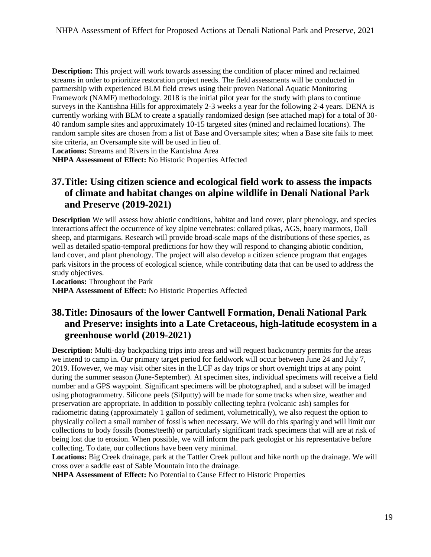**Description:** This project will work towards assessing the condition of placer mined and reclaimed streams in order to prioritize restoration project needs. The field assessments will be conducted in partnership with experienced BLM field crews using their proven National Aquatic Monitoring Framework (NAMF) methodology. 2018 is the initial pilot year for the study with plans to continue surveys in the Kantishna Hills for approximately 2-3 weeks a year for the following 2-4 years. DENA is currently working with BLM to create a spatially randomized design (see attached map) for a total of 30- 40 random sample sites and approximately 10-15 targeted sites (mined and reclaimed locations). The random sample sites are chosen from a list of Base and Oversample sites; when a Base site fails to meet site criteria, an Oversample site will be used in lieu of.

**Locations:** Streams and Rivers in the Kantishna Area

**NHPA Assessment of Effect:** No Historic Properties Affected

# <span id="page-18-0"></span>**37.Title: Using citizen science and ecological field work to assess the impacts of climate and habitat changes on alpine wildlife in Denali National Park and Preserve (2019-2021)**

 land cover, and plant phenology. The project will also develop a citizen science program that engages **Description** We will assess how abiotic conditions, habitat and land cover, plant phenology, and species interactions affect the occurrence of key alpine vertebrates: collared pikas, AGS, hoary marmots, Dall sheep, and ptarmigans. Research will provide broad-scale maps of the distributions of these species, as well as detailed spatio-temporal predictions for how they will respond to changing abiotic condition, park visitors in the process of ecological science, while contributing data that can be used to address the study objectives.

**Locations:** Throughout the Park **NHPA Assessment of Effect:** No Historic Properties Affected

# <span id="page-18-1"></span>**38.Title: Dinosaurs of the lower Cantwell Formation, Denali National Park and Preserve: insights into a Late Cretaceous, high-latitude ecosystem in a greenhouse world (2019-2021)**

 **Description:** Multi-day backpacking trips into areas and will request backcountry permits for the areas 2019. However, we may visit other sites in the LCF as day trips or short overnight trips at any point number and a GPS waypoint. Significant specimens will be photographed, and a subset will be imaged preservation are appropriate. In addition to possibly collecting tephra (volcanic ash) samples for physically collect a small number of fossils when necessary. We will do this sparingly and will limit our collections to body fossils (bones/teeth) or particularly significant track specimens that will are at risk of we intend to camp in. Our primary target period for fieldwork will occur between June 24 and July 7, during the summer season (June-September). At specimen sites, individual specimens will receive a field using photogrammetry. Silicone peels (Silputty) will be made for some tracks when size, weather and radiometric dating (approximately 1 gallon of sediment, volumetrically), we also request the option to being lost due to erosion. When possible, we will inform the park geologist or his representative before collecting. To date, our collections have been very minimal.

**Locations:** Big Creek drainage, park at the Tattler Creek pullout and hike north up the drainage. We will cross over a saddle east of Sable Mountain into the drainage.

**NHPA Assessment of Effect:** No Potential to Cause Effect to Historic Properties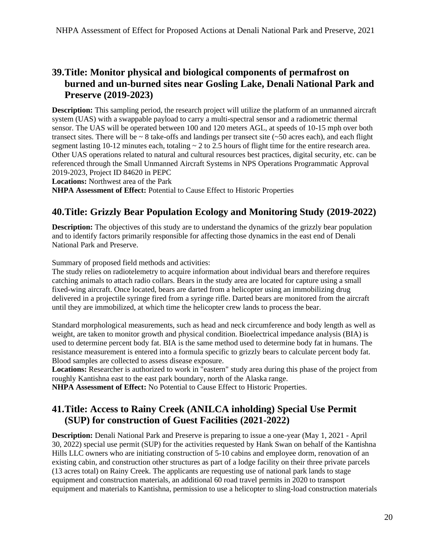# <span id="page-19-0"></span>**39.Title: Monitor physical and biological components of permafrost on burned and un-burned sites near Gosling Lake, Denali National Park and Preserve (2019-2023)**

 **Description:** This sampling period, the research project will utilize the platform of an unmanned aircraft segment lasting  $10-12$  minutes each, totaling  $\sim 2$  to 2.5 hours of flight time for the entire research area. system (UAS) with a swappable payload to carry a multi-spectral sensor and a radiometric thermal sensor. The UAS will be operated between 100 and 120 meters AGL, at speeds of 10-15 mph over both transect sites. There will be  $\sim 8$  take-offs and landings per transect site ( $\sim 50$  acres each), and each flight Other UAS operations related to natural and cultural resources best practices, digital security, etc. can be referenced through the Small Unmanned Aircraft Systems in NPS Operations Programmatic Approval 2019-2023, Project ID 84620 in PEPC

**Locations:** Northwest area of the Park

**NHPA Assessment of Effect:** Potential to Cause Effect to Historic Properties

# <span id="page-19-1"></span>**40.Title: Grizzly Bear Population Ecology and Monitoring Study (2019-2022)**

**Description:** The objectives of this study are to understand the dynamics of the grizzly bear population and to identify factors primarily responsible for affecting those dynamics in the east end of Denali National Park and Preserve.

Summary of proposed field methods and activities:

The study relies on radiotelemetry to acquire information about individual bears and therefore requires catching animals to attach radio collars. Bears in the study area are located for capture using a small fixed-wing aircraft. Once located, bears are darted from a helicopter using an immobilizing drug delivered in a projectile syringe fired from a syringe rifle. Darted bears are monitored from the aircraft until they are immobilized, at which time the helicopter crew lands to process the bear.

Standard morphological measurements, such as head and neck circumference and body length as well as weight, are taken to monitor growth and physical condition. Bioelectrical impedance analysis (BIA) is used to determine percent body fat. BIA is the same method used to determine body fat in humans. The resistance measurement is entered into a formula specific to grizzly bears to calculate percent body fat. Blood samples are collected to assess disease exposure.

 **Locations:** Researcher is authorized to work in "eastern" study area during this phase of the project from roughly Kantishna east to the east park boundary, north of the Alaska range.

**NHPA Assessment of Effect:** No Potential to Cause Effect to Historic Properties.

### <span id="page-19-2"></span>**41.Title: Access to Rainy Creek (ANILCA inholding) Special Use Permit (SUP) for construction of Guest Facilities (2021-2022)**

 existing cabin, and construction other structures as part of a lodge facility on their three private parcels **Description:** Denali National Park and Preserve is preparing to issue a one-year (May 1, 2021 - April 30, 2022) special use permit (SUP) for the activities requested by Hank Swan on behalf of the Kantishna Hills LLC owners who are initiating construction of 5-10 cabins and employee dorm, renovation of an (13 acres total) on Rainy Creek. The applicants are requesting use of national park lands to stage equipment and construction materials, an additional 60 road travel permits in 2020 to transport equipment and materials to Kantishna, permission to use a helicopter to sling-load construction materials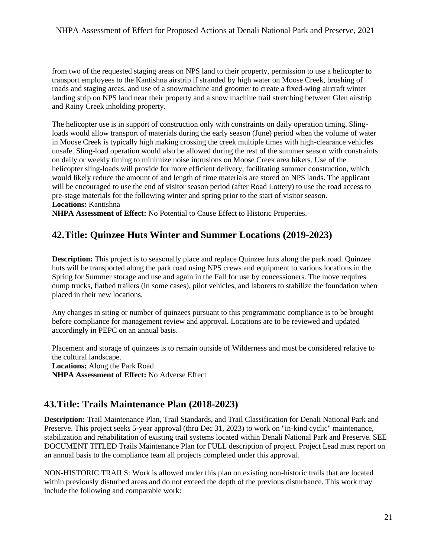from two of the requested staging areas on NPS land to their property, permission to use a helicopter to transport employees to the Kantishna airstrip if stranded by high water on Moose Creek, brushing of roads and staging areas, and use of a snowmachine and groomer to create a fixed-wing aircraft winter landing strip on NPS land near their property and a snow machine trail stretching between Glen airstrip and Rainy Creek inholding property.

 The helicopter use is in support of construction only with constraints on daily operation timing. Sling- helicopter sling-loads will provide for more efficient delivery, facilitating summer construction, which loads would allow transport of materials during the early season (June) period when the volume of water in Moose Creek is typically high making crossing the creek multiple times with high-clearance vehicles unsafe. Sling-load operation would also be allowed during the rest of the summer season with constraints on daily or weekly timing to minimize noise intrusions on Moose Creek area hikers. Use of the would likely reduce the amount of and length of time materials are stored on NPS lands. The applicant will be encouraged to use the end of visitor season period (after Road Lottery) to use the road access to pre-stage materials for the following winter and spring prior to the start of visitor season. **Locations:** Kantishna

**NHPA Assessment of Effect:** No Potential to Cause Effect to Historic Properties.

# <span id="page-20-0"></span>**42.Title: Quinzee Huts Winter and Summer Locations (2019-2023)**

 Spring for Summer storage and use and again in the Fall for use by concessioners. The move requires **Description:** This project is to seasonally place and replace Quinzee huts along the park road. Quinzee huts will be transported along the park road using NPS crews and equipment to various locations in the dump trucks, flatbed trailers (in some cases), pilot vehicles, and laborers to stabilize the foundation when placed in their new locations.

Any changes in siting or number of quinzees pursuant to this programmatic compliance is to be brought before compliance for management review and approval. Locations are to be reviewed and updated accordingly in PEPC on an annual basis.

Placement and storage of quinzees is to remain outside of Wilderness and must be considered relative to the cultural landscape. **Locations:** Along the Park Road **NHPA Assessment of Effect:** No Adverse Effect

### <span id="page-20-1"></span>**43.Title: Trails Maintenance Plan (2018-2023)**

 DOCUMENT TITLED Trails Maintenance Plan for FULL description of project. Project Lead must report on **Description:** Trail Maintenance Plan, Trail Standards, and Trail Classification for Denali National Park and Preserve. This project seeks 5-year approval (thru Dec 31, 2023) to work on "in-kind cyclic" maintenance, stabilization and rehabilitation of existing trail systems located within Denali National Park and Preserve. SEE an annual basis to the compliance team all projects completed under this approval.

NON-HISTORIC TRAILS: Work is allowed under this plan on existing non-historic trails that are located within previously disturbed areas and do not exceed the depth of the previous disturbance. This work may include the following and comparable work: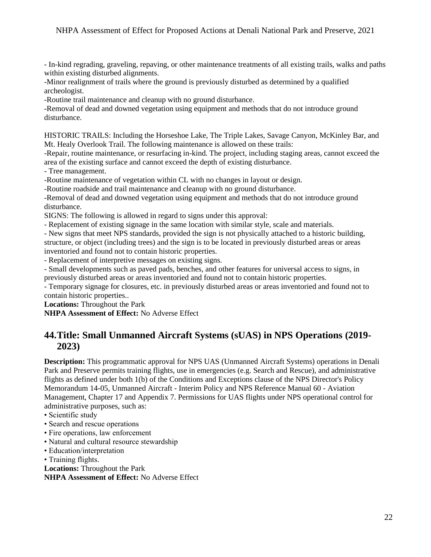- In-kind regrading, graveling, repaving, or other maintenance treatments of all existing trails, walks and paths within existing disturbed alignments.

-Minor realignment of trails where the ground is previously disturbed as determined by a qualified archeologist.

-Routine trail maintenance and cleanup with no ground disturbance.

-Removal of dead and downed vegetation using equipment and methods that do not introduce ground disturbance.

HISTORIC TRAILS: Including the Horseshoe Lake, The Triple Lakes, Savage Canyon, McKinley Bar, and Mt. Healy Overlook Trail. The following maintenance is allowed on these trails:

 area of the existing surface and cannot exceed the depth of existing disturbance. -Repair, routine maintenance, or resurfacing in-kind. The project, including staging areas, cannot exceed the

- Tree management.

-Routine maintenance of vegetation within CL with no changes in layout or design.

-Routine roadside and trail maintenance and cleanup with no ground disturbance.

-Removal of dead and downed vegetation using equipment and methods that do not introduce ground disturbance.

SIGNS: The following is allowed in regard to signs under this approval:

- Replacement of existing signage in the same location with similar style, scale and materials.

- New signs that meet NPS standards, provided the sign is not physically attached to a historic building, structure, or object (including trees) and the sign is to be located in previously disturbed areas or areas inventoried and found not to contain historic properties.

- Replacement of interpretive messages on existing signs.

- Small developments such as paved pads, benches, and other features for universal access to signs, in previously disturbed areas or areas inventoried and found not to contain historic properties.

- Temporary signage for closures, etc. in previously disturbed areas or areas inventoried and found not to contain historic properties..

**Locations:** Throughout the Park

**NHPA Assessment of Effect:** No Adverse Effect

## <span id="page-21-0"></span>**44.Title: Small Unmanned Aircraft Systems (sUAS) in NPS Operations (2019- 2023)**

 Management, Chapter 17 and Appendix 7. Permissions for UAS flights under NPS operational control for **Description:** This programmatic approval for NPS UAS (Unmanned Aircraft Systems) operations in Denali Park and Preserve permits training flights, use in emergencies (e.g. Search and Rescue), and administrative flights as defined under both 1(b) of the Conditions and Exceptions clause of the NPS Director's Policy Memorandum 14-05, Unmanned Aircraft - Interim Policy and NPS Reference Manual 60 - Aviation administrative purposes, such as:

• Scientific study

- Search and rescue operations
- Fire operations, law enforcement
- Natural and cultural resource stewardship
- Education/interpretation
- Training flights.

**Locations:** Throughout the Park

**NHPA Assessment of Effect:** No Adverse Effect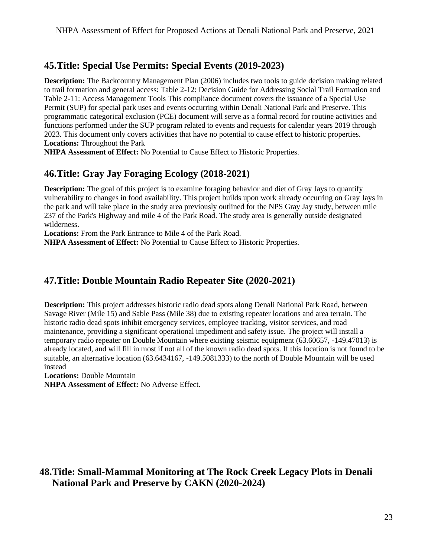# <span id="page-22-0"></span>**45.Title: Special Use Permits: Special Events (2019-2023)**

 programmatic categorical exclusion (PCE) document will serve as a formal record for routine activities and **Description:** The Backcountry Management Plan (2006) includes two tools to guide decision making related to trail formation and general access: Table 2-12: Decision Guide for Addressing Social Trail Formation and Table 2-11: Access Management Tools This compliance document covers the issuance of a Special Use Permit (SUP) for special park uses and events occurring within Denali National Park and Preserve. This functions performed under the SUP program related to events and requests for calendar years 2019 through 2023. This document only covers activities that have no potential to cause effect to historic properties. **Locations:** Throughout the Park

**NHPA Assessment of Effect:** No Potential to Cause Effect to Historic Properties.

# <span id="page-22-1"></span>**46.Title: Gray Jay Foraging Ecology (2018-2021)**

**Description:** The goal of this project is to examine foraging behavior and diet of Gray Jays to quantify vulnerability to changes in food availability. This project builds upon work already occurring on Gray Jays in the park and will take place in the study area previously outlined for the NPS Gray Jay study, between mile 237 of the Park's Highway and mile 4 of the Park Road. The study area is generally outside designated wilderness.

**Locations:** From the Park Entrance to Mile 4 of the Park Road.

**NHPA Assessment of Effect:** No Potential to Cause Effect to Historic Properties.

# <span id="page-22-2"></span>**47.Title: Double Mountain Radio Repeater Site (2020-2021)**

 maintenance, providing a significant operational impediment and safety issue. The project will install a already located, and will fill in most if not all of the known radio dead spots. If this location is not found to be **Description:** This project addresses historic radio dead spots along Denali National Park Road, between Savage River (Mile 15) and Sable Pass (Mile 38) due to existing repeater locations and area terrain. The historic radio dead spots inhibit emergency services, employee tracking, visitor services, and road temporary radio repeater on Double Mountain where existing seismic equipment (63.60657, -149.47013) is suitable, an alternative location (63.6434167, -149.5081333) to the north of Double Mountain will be used instead

**Locations:** Double Mountain

**NHPA Assessment of Effect:** No Adverse Effect.

# <span id="page-22-3"></span>**48.Title: Small-Mammal Monitoring at The Rock Creek Legacy Plots in Denali National Park and Preserve by CAKN (2020-2024)**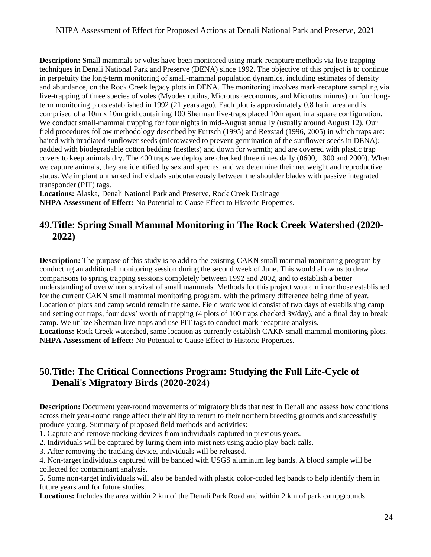comprised of a 10m x 10m grid containing 100 Sherman live-traps placed 10m apart in a square configuration. field procedures follow methodology described by Furtsch (1995) and Rexstad (1996, 2005) in which traps are: **Description:** Small mammals or voles have been monitored using mark-recapture methods via live-trapping techniques in Denali National Park and Preserve (DENA) since 1992. The objective of this project is to continue in perpetuity the long-term monitoring of small-mammal population dynamics, including estimates of density and abundance, on the Rock Creek legacy plots in DENA. The monitoring involves mark-recapture sampling via live-trapping of three species of voles (Myodes rutilus, Microtus oeconomus, and Microtus miurus) on four longterm monitoring plots established in 1992 (21 years ago). Each plot is approximately 0.8 ha in area and is We conduct small-mammal trapping for four nights in mid-August annually (usually around August 12). Our baited with irradiated sunflower seeds (microwaved to prevent germination of the sunflower seeds in DENA); padded with biodegradable cotton bedding (nestlets) and down for warmth; and are covered with plastic trap covers to keep animals dry. The 400 traps we deploy are checked three times daily (0600, 1300 and 2000). When we capture animals, they are identified by sex and species, and we determine their net weight and reproductive status. We implant unmarked individuals subcutaneously between the shoulder blades with passive integrated transponder (PIT) tags.

**Locations:** Alaska, Denali National Park and Preserve, Rock Creek Drainage

**NHPA Assessment of Effect:** No Potential to Cause Effect to Historic Properties.

# <span id="page-23-0"></span>**49.Title: Spring Small Mammal Monitoring in The Rock Creek Watershed (2020- 2022)**

 and setting out traps, four days' worth of trapping (4 plots of 100 traps checked 3x/day), and a final day to break **Locations:** Rock Creek watershed, same location as currently establish CAKN small mammal monitoring plots. **Description:** The purpose of this study is to add to the existing CAKN small mammal monitoring program by conducting an additional monitoring session during the second week of June. This would allow us to draw comparisons to spring trapping sessions completely between 1992 and 2002, and to establish a better understanding of overwinter survival of small mammals. Methods for this project would mirror those established for the current CAKN small mammal monitoring program, with the primary difference being time of year. Location of plots and camp would remain the same. Field work would consist of two days of establishing camp camp. We utilize Sherman live-traps and use PIT tags to conduct mark-recapture analysis. **NHPA Assessment of Effect:** No Potential to Cause Effect to Historic Properties.

# <span id="page-23-1"></span>**50.Title: The Critical Connections Program: Studying the Full Life-Cycle of Denali's Migratory Birds (2020-2024)**

**Description:** Document year-round movements of migratory birds that nest in Denali and assess how conditions across their year-round range affect their ability to return to their northern breeding grounds and successfully produce young. Summary of proposed field methods and activities:

1. Capture and remove tracking devices from individuals captured in previous years.

2. Individuals will be captured by luring them into mist nets using audio play-back calls.

3. After removing the tracking device, individuals will be released.

 collected for contaminant analysis. 4. Non-target individuals captured will be banded with USGS aluminum leg bands. A blood sample will be

 5. Some non-target individuals will also be banded with plastic color-coded leg bands to help identify them in future years and for future studies.

**Locations:** Includes the area within 2 km of the Denali Park Road and within 2 km of park campgrounds.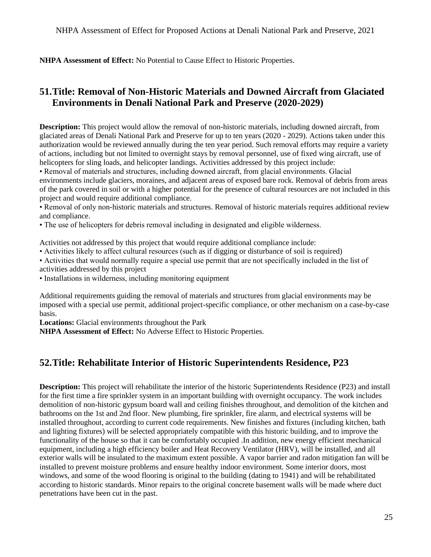**NHPA Assessment of Effect:** No Potential to Cause Effect to Historic Properties.

# <span id="page-24-0"></span>**51.Title: Removal of Non-Historic Materials and Downed Aircraft from Glaciated Environments in Denali National Park and Preserve (2020-2029)**

 **Description:** This project would allow the removal of non-historic materials, including downed aircraft, from of actions, including but not limited to overnight stays by removal personnel, use of fixed wing aircraft, use of glaciated areas of Denali National Park and Preserve for up to ten years (2020 - 2029). Actions taken under this authorization would be reviewed annually during the ten year period. Such removal efforts may require a variety helicopters for sling loads, and helicopter landings. Activities addressed by this project include:

• Removal of materials and structures, including downed aircraft, from glacial environments. Glacial environments include glaciers, moraines, and adjacent areas of exposed bare rock. Removal of debris from areas of the park covered in soil or with a higher potential for the presence of cultural resources are not included in this project and would require additional compliance.

• Removal of only non-historic materials and structures. Removal of historic materials requires additional review and compliance.

• The use of helicopters for debris removal including in designated and eligible wilderness.

Activities not addressed by this project that would require additional compliance include:

- Activities likely to affect cultural resources (such as if digging or disturbance of soil is required)
- Activities that would normally require a special use permit that are not specifically included in the list of activities addressed by this project

• Installations in wilderness, including monitoring equipment

 Additional requirements guiding the removal of materials and structures from glacial environments may be imposed with a special use permit, additional project-specific compliance, or other mechanism on a case-by-case basis.

**Locations:** Glacial environments throughout the Park

**NHPA Assessment of Effect:** No Adverse Effect to Historic Properties.

# <span id="page-24-1"></span>**52.Title: Rehabilitate Interior of Historic Superintendents Residence, P23**

 **Description:** This project will rehabilitate the interior of the historic Superintendents Residence (P23) and install bathrooms on the 1st and 2nd floor. New plumbing, fire sprinkler, fire alarm, and electrical systems will be installed throughout, according to current code requirements. New finishes and fixtures (including kitchen, bath functionality of the house so that it can be comfortably occupied .In addition, new energy efficient mechanical exterior walls will be insulated to the maximum extent possible. A vapor barrier and radon mitigation fan will be installed to prevent moisture problems and ensure healthy indoor environment. Some interior doors, most for the first time a fire sprinkler system in an important building with overnight occupancy. The work includes demolition of non-historic gypsum board wall and ceiling finishes throughout, and demolition of the kitchen and and lighting fixtures) will be selected appropriately compatible with this historic building, and to improve the equipment, including a high efficiency boiler and Heat Recovery Ventilator (HRV), will be installed, and all windows, and some of the wood flooring is original to the building (dating to 1941) and will be rehabilitated according to historic standards. Minor repairs to the original concrete basement walls will be made where duct penetrations have been cut in the past.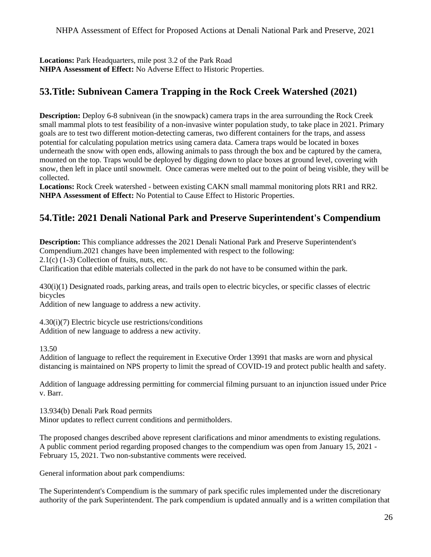Locations: Park Headquarters, mile post 3.2 of the Park Road **NHPA Assessment of Effect:** No Adverse Effect to Historic Properties.

# <span id="page-25-0"></span>**53.Title: Subnivean Camera Trapping in the Rock Creek Watershed (2021)**

**Description:** Deploy 6-8 subnivean (in the snowpack) camera traps in the area surrounding the Rock Creek small mammal plots to test feasibility of a non-invasive winter population study, to take place in 2021. Primary goals are to test two different motion-detecting cameras, two different containers for the traps, and assess potential for calculating population metrics using camera data. Camera traps would be located in boxes underneath the snow with open ends, allowing animals to pass through the box and be captured by the camera, mounted on the top. Traps would be deployed by digging down to place boxes at ground level, covering with snow, then left in place until snowmelt. Once cameras were melted out to the point of being visible, they will be collected.

**Locations:** Rock Creek watershed - between existing CAKN small mammal monitoring plots RR1 and RR2. **NHPA Assessment of Effect:** No Potential to Cause Effect to Historic Properties.

# <span id="page-25-1"></span> **54.Title: 2021 Denali National Park and Preserve Superintendent's Compendium**

**Description:** This compliance addresses the 2021 Denali National Park and Preserve Superintendent's Compendium.2021 changes have been implemented with respect to the following:

2.1(c) (1-3) Collection of fruits, nuts, etc.

Clarification that edible materials collected in the park do not have to be consumed within the park.

430(i)(1) Designated roads, parking areas, and trails open to electric bicycles, or specific classes of electric bicycles

Addition of new language to address a new activity.

4.30(i)(7) Electric bicycle use restrictions/conditions Addition of new language to address a new activity.

13.50

Addition of language to reflect the requirement in Executive Order 13991 that masks are worn and physical distancing is maintained on NPS property to limit the spread of COVID-19 and protect public health and safety.

Addition of language addressing permitting for commercial filming pursuant to an injunction issued under Price v. Barr.

13.934(b) Denali Park Road permits Minor updates to reflect current conditions and permitholders.

The proposed changes described above represent clarifications and minor amendments to existing regulations. A public comment period regarding proposed changes to the compendium was open from January 15, 2021 - February 15, 2021. Two non-substantive comments were received.

General information about park compendiums:

The Superintendent's Compendium is the summary of park specific rules implemented under the discretionary authority of the park Superintendent. The park compendium is updated annually and is a written compilation that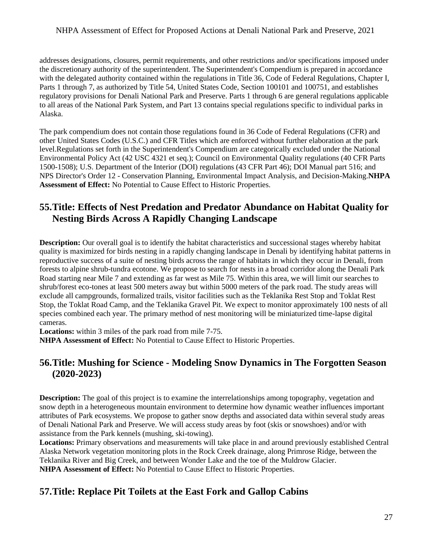addresses designations, closures, permit requirements, and other restrictions and/or specifications imposed under the discretionary authority of the superintendent. The Superintendent's Compendium is prepared in accordance with the delegated authority contained within the regulations in Title 36, Code of Federal Regulations, Chapter I, Parts 1 through 7, as authorized by Title 54, United States Code, Section 100101 and 100751, and establishes regulatory provisions for Denali National Park and Preserve. Parts 1 through 6 are general regulations applicable to all areas of the National Park System, and Part 13 contains special regulations specific to individual parks in Alaska.

 level.Regulations set forth in the Superintendent's Compendium are categorically excluded under the National The park compendium does not contain those regulations found in 36 Code of Federal Regulations (CFR) and other United States Codes (U.S.C.) and CFR Titles which are enforced without further elaboration at the park Environmental Policy Act (42 USC 4321 et seq.); Council on Environmental Quality regulations (40 CFR Parts 1500-1508); U.S. Department of the Interior (DOI) regulations (43 CFR Part 46); DOI Manual part 516; and NPS Director's Order 12 - Conservation Planning, Environmental Impact Analysis, and Decision-Making.**NHPA Assessment of Effect:** No Potential to Cause Effect to Historic Properties.

## <span id="page-26-0"></span>**55.Title: Effects of Nest Predation and Predator Abundance on Habitat Quality for Nesting Birds Across A Rapidly Changing Landscape**

 **Description:** Our overall goal is to identify the habitat characteristics and successional stages whereby habitat Road starting near Mile 7 and extending as far west as Mile 75. Within this area, we will limit our searches to Stop, the Toklat Road Camp, and the Teklanika Gravel Pit. We expect to monitor approximately 100 nests of all species combined each year. The primary method of nest monitoring will be miniaturized time-lapse digital quality is maximized for birds nesting in a rapidly changing landscape in Denali by identifying habitat patterns in reproductive success of a suite of nesting birds across the range of habitats in which they occur in Denali, from forests to alpine shrub-tundra ecotone. We propose to search for nests in a broad corridor along the Denali Park shrub/forest eco-tones at least 500 meters away but within 5000 meters of the park road. The study areas will exclude all campgrounds, formalized trails, visitor facilities such as the Teklanika Rest Stop and Toklat Rest cameras.

**Locations:** within 3 miles of the park road from mile 7-75.

**NHPA Assessment of Effect:** No Potential to Cause Effect to Historic Properties.

# <span id="page-26-1"></span>**56.Title: Mushing for Science - Modeling Snow Dynamics in The Forgotten Season (2020-2023)**

 of Denali National Park and Preserve. We will access study areas by foot (skis or snowshoes) and/or with **Description:** The goal of this project is to examine the interrelationships among topography, vegetation and snow depth in a heterogeneous mountain environment to determine how dynamic weather influences important attributes of Park ecosystems. We propose to gather snow depths and associated data within several study areas assistance from the Park kennels (mushing, ski-towing).

**Locations:** Primary observations and measurements will take place in and around previously established Central Alaska Network vegetation monitoring plots in the Rock Creek drainage, along Primrose Ridge, between the Teklanika River and Big Creek, and between Wonder Lake and the toe of the Muldrow Glacier. **NHPA Assessment of Effect:** No Potential to Cause Effect to Historic Properties.

### <span id="page-26-2"></span>**57.Title: Replace Pit Toilets at the East Fork and Gallop Cabins**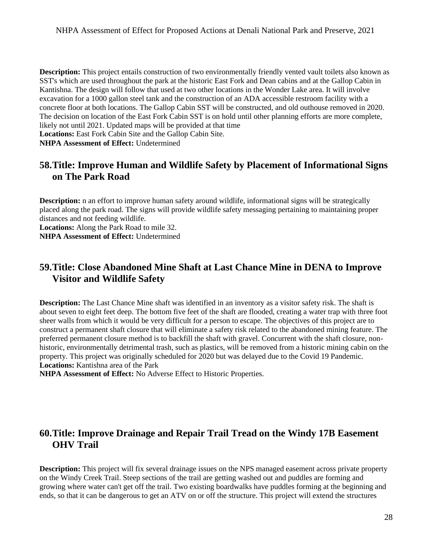SST's which are used throughout the park at the historic East Fork and Dean cabins and at the Gallop Cabin in Kantishna. The design will follow that used at two other locations in the Wonder Lake area. It will involve **Description:** This project entails construction of two environmentally friendly vented vault toilets also known as excavation for a 1000 gallon steel tank and the construction of an ADA accessible restroom facility with a concrete floor at both locations. The Gallop Cabin SST will be constructed, and old outhouse removed in 2020. The decision on location of the East Fork Cabin SST is on hold until other planning efforts are more complete, likely not until 2021. Updated maps will be provided at that time

**Locations:** East Fork Cabin Site and the Gallop Cabin Site.

**NHPA Assessment of Effect:** Undetermined

## <span id="page-27-0"></span>**58.Title: Improve Human and Wildlife Safety by Placement of Informational Signs on The Park Road**

**Description:** n an effort to improve human safety around wildlife, informational signs will be strategically placed along the park road. The signs will provide wildlife safety messaging pertaining to maintaining proper distances and not feeding wildlife.

**Locations:** Along the Park Road to mile 32.

**NHPA Assessment of Effect:** Undetermined

# <span id="page-27-1"></span>**59.Title: Close Abandoned Mine Shaft at Last Chance Mine in DENA to Improve Visitor and Wildlife Safety**

**Description:** The Last Chance Mine shaft was identified in an inventory as a visitor safety risk. The shaft is about seven to eight feet deep. The bottom five feet of the shaft are flooded, creating a water trap with three foot sheer walls from which it would be very difficult for a person to escape. The objectives of this project are to construct a permanent shaft closure that will eliminate a safety risk related to the abandoned mining feature. The preferred permanent closure method is to backfill the shaft with gravel. Concurrent with the shaft closure, nonhistoric, environmentally detrimental trash, such as plastics, will be removed from a historic mining cabin on the property. This project was originally scheduled for 2020 but was delayed due to the Covid 19 Pandemic. **Locations:** Kantishna area of the Park

**NHPA Assessment of Effect:** No Adverse Effect to Historic Properties.

### <span id="page-27-2"></span>**60.Title: Improve Drainage and Repair Trail Tread on the Windy 17B Easement OHV Trail**

 **Description:** This project will fix several drainage issues on the NPS managed easement across private property growing where water can't get off the trail. Two existing boardwalks have puddles forming at the beginning and ends, so that it can be dangerous to get an ATV on or off the structure. This project will extend the structures on the Windy Creek Trail. Steep sections of the trail are getting washed out and puddles are forming and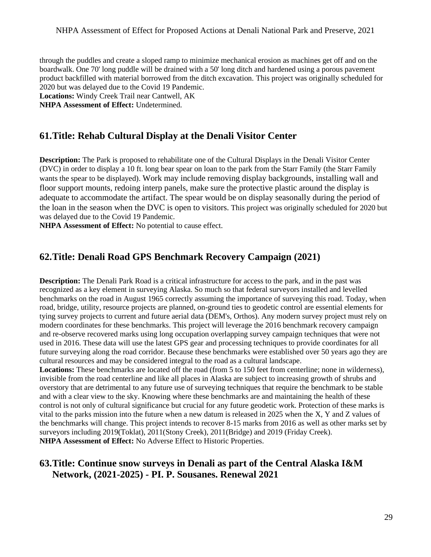through the puddles and create a sloped ramp to minimize mechanical erosion as machines get off and on the boardwalk. One 70' long puddle will be drained with a 50' long ditch and hardened using a porous pavement product backfilled with material borrowed from the ditch excavation. This project was originally scheduled for 2020 but was delayed due to the Covid 19 Pandemic.

**Locations:** Windy Creek Trail near Cantwell, AK

**NHPA Assessment of Effect:** Undetermined.

#### <span id="page-28-0"></span> **61.Title: Rehab Cultural Display at the Denali Visitor Center**

**Description:** The Park is proposed to rehabilitate one of the Cultural Displays in the Denali Visitor Center (DVC) in order to display a 10 ft. long bear spear on loan to the park from the Starr Family (the Starr Family wants the spear to be displayed). Work may include removing display backgrounds, installing wall and floor support mounts, redoing interp panels, make sure the protective plastic around the display is adequate to accommodate the artifact. The spear would be on display seasonally during the period of the loan in the season when the DVC is open to visitors. This project was originally scheduled for 2020 but was delayed due to the Covid 19 Pandemic.

**NHPA Assessment of Effect:** No potential to cause effect.

## <span id="page-28-1"></span>**62.Title: Denali Road GPS Benchmark Recovery Campaign (2021)**

 road, bridge, utility, resource projects are planned, on-ground ties to geodetic control are essential elements for **Description:** The Denali Park Road is a critical infrastructure for access to the park, and in the past was recognized as a key element in surveying Alaska. So much so that federal surveyors installed and levelled benchmarks on the road in August 1965 correctly assuming the importance of surveying this road. Today, when tying survey projects to current and future aerial data (DEM's, Orthos). Any modern survey project must rely on modern coordinates for these benchmarks. This project will leverage the 2016 benchmark recovery campaign and re-observe recovered marks using long occupation overlapping survey campaign techniques that were not used in 2016. These data will use the latest GPS gear and processing techniques to provide coordinates for all future surveying along the road corridor. Because these benchmarks were established over 50 years ago they are cultural resources and may be considered integral to the road as a cultural landscape.

 the benchmarks will change. This project intends to recover 8-15 marks from 2016 as well as other marks set by Locations: These benchmarks are located off the road (from 5 to 150 feet from centerline; none in wilderness), invisible from the road centerline and like all places in Alaska are subject to increasing growth of shrubs and overstory that are detrimental to any future use of surveying techniques that require the benchmark to be stable and with a clear view to the sky. Knowing where these benchmarks are and maintaining the health of these control is not only of cultural significance but crucial for any future geodetic work. Protection of these marks is vital to the parks mission into the future when a new datum is released in 2025 when the X, Y and Z values of surveyors including 2019(Toklat), 2011(Stony Creek), 2011(Bridge) and 2019 (Friday Creek). **NHPA Assessment of Effect:** No Adverse Effect to Historic Properties.

### <span id="page-28-2"></span> **63.Title: Continue snow surveys in Denali as part of the Central Alaska I&M Network, (2021-2025) - PI. P. Sousanes. Renewal 2021**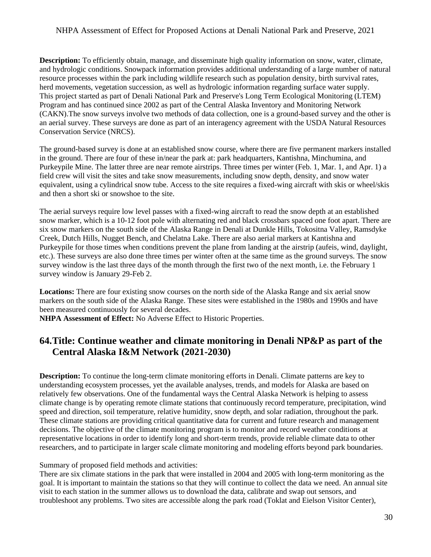**Description:** To efficiently obtain, manage, and disseminate high quality information on snow, water, climate, and hydrologic conditions. Snowpack information provides additional understanding of a large number of natural resource processes within the park including wildlife research such as population density, birth survival rates, herd movements, vegetation succession, as well as hydrologic information regarding surface water supply. This project started as part of Denali National Park and Preserve's Long Term Ecological Monitoring (LTEM) Program and has continued since 2002 as part of the Central Alaska Inventory and Monitoring Network (CAKN).The snow surveys involve two methods of data collection, one is a ground-based survey and the other is an aerial survey. These surveys are done as part of an interagency agreement with the USDA Natural Resources Conservation Service (NRCS).

 in the ground. There are four of these in/near the park at: park headquarters, Kantishna, Minchumina, and The ground-based survey is done at an established snow course, where there are five permanent markers installed Purkeypile Mine. The latter three are near remote airstrips. Three times per winter (Feb. 1, Mar. 1, and Apr. 1) a field crew will visit the sites and take snow measurements, including snow depth, density, and snow water equivalent, using a cylindrical snow tube. Access to the site requires a fixed-wing aircraft with skis or wheel/skis and then a short ski or snowshoe to the site.

 Purkeypile for those times when conditions prevent the plane from landing at the airstrip (aufeis, wind, daylight, etc.). These surveys are also done three times per winter often at the same time as the ground surveys. The snow survey window is the last three days of the month through the first two of the next month, i.e. the February 1 The aerial surveys require low level passes with a fixed-wing aircraft to read the snow depth at an established snow marker, which is a 10-12 foot pole with alternating red and black crossbars spaced one foot apart. There are six snow markers on the south side of the Alaska Range in Denali at Dunkle Hills, Tokositna Valley, Ramsdyke Creek, Dutch Hills, Nugget Bench, and Chelatna Lake. There are also aerial markers at Kantishna and survey window is January 29-Feb 2.

**Locations:** There are four existing snow courses on the north side of the Alaska Range and six aerial snow markers on the south side of the Alaska Range. These sites were established in the 1980s and 1990s and have been measured continuously for several decades.

**NHPA Assessment of Effect:** No Adverse Effect to Historic Properties.

# <span id="page-29-0"></span> **64.Title: Continue weather and climate monitoring in Denali NP&P as part of the Central Alaska I&M Network (2021-2030)**

**Description:** To continue the long-term climate monitoring efforts in Denali. Climate patterns are key to understanding ecosystem processes, yet the available analyses, trends, and models for Alaska are based on relatively few observations. One of the fundamental ways the Central Alaska Network is helping to assess climate change is by operating remote climate stations that continuously record temperature, precipitation, wind speed and direction, soil temperature, relative humidity, snow depth, and solar radiation, throughout the park. These climate stations are providing critical quantitative data for current and future research and management decisions. The objective of the climate monitoring program is to monitor and record weather conditions at representative locations in order to identify long and short-term trends, provide reliable climate data to other researchers, and to participate in larger scale climate monitoring and modeling efforts beyond park boundaries.

Summary of proposed field methods and activities:

 goal. It is important to maintain the stations so that they will continue to collect the data we need. An annual site There are six climate stations in the park that were installed in 2004 and 2005 with long-term monitoring as the visit to each station in the summer allows us to download the data, calibrate and swap out sensors, and troubleshoot any problems. Two sites are accessible along the park road (Toklat and Eielson Visitor Center),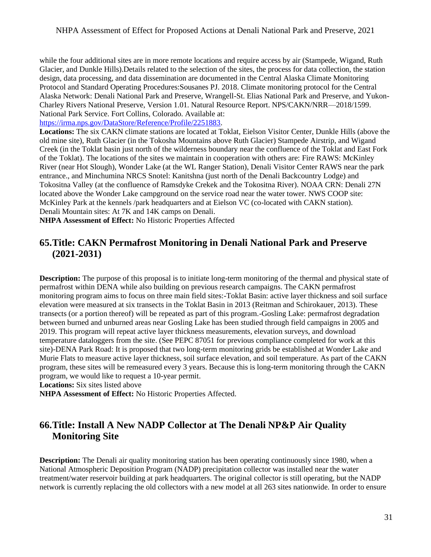Protocol and Standard Operating Procedures:Sousanes PJ. 2018. Climate monitoring protocol for the Central while the four additional sites are in more remote locations and require access by air (Stampede, Wigand, Ruth Glacier, and Dunkle Hills).Details related to the selection of the sites, the process for data collection, the station design, data processing, and data dissemination are documented in the Central Alaska Climate Monitoring Alaska Network: Denali National Park and Preserve, Wrangell-St. Elias National Park and Preserve, and Yukon-Charley Rivers National Preserve, Version 1.01. Natural Resource Report. NPS/CAKN/NRR—2018/1599. National Park Service. Fort Collins, Colorado. Available at:

[https://irma.nps.gov/DataStore/Reference/Profile/2251883.](https://irma.nps.gov/DataStore/Reference/Profile/2251883)

 Creek (in the Toklat basin just north of the wilderness boundary near the confluence of the Toklat and East Fork located above the Wonder Lake campground on the service road near the water tower. NWS COOP site: **Locations:** The six CAKN climate stations are located at Toklat, Eielson Visitor Center, Dunkle Hills (above the old mine site), Ruth Glacier (in the Tokosha Mountains above Ruth Glacier) Stampede Airstrip, and Wigand of the Toklat). The locations of the sites we maintain in cooperation with others are: Fire RAWS: McKinley River (near Hot Slough), Wonder Lake (at the WL Ranger Station), Denali Visitor Center RAWS near the park entrance., and Minchumina NRCS Snotel: Kanitshna (just north of the Denali Backcountry Lodge) and Tokositna Valley (at the confluence of Ramsdyke Crekek and the Tokositna River). NOAA CRN: Denali 27N McKinley Park at the kennels /park headquarters and at Eielson VC (co-located with CAKN station). Denali Mountain sites: At 7K and 14K camps on Denali.

**NHPA Assessment of Effect:** No Historic Properties Affected

## <span id="page-30-0"></span>**65.Title: CAKN Permafrost Monitoring in Denali National Park and Preserve (2021-2031)**

 Murie Flats to measure active layer thickness, soil surface elevation, and soil temperature. As part of the CAKN **Description:** The purpose of this proposal is to initiate long-term monitoring of the thermal and physical state of permafrost within DENA while also building on previous research campaigns. The CAKN permafrost monitoring program aims to focus on three main field sites:-Toklat Basin: active layer thickness and soil surface elevation were measured at six transects in the Toklat Basin in 2013 (Reitman and Schirokauer, 2013). These transects (or a portion thereof) will be repeated as part of this program.-Gosling Lake: permafrost degradation between burned and unburned areas near Gosling Lake has been studied through field campaigns in 2005 and 2019. This program will repeat active layer thickness measurements, elevation surveys, and download temperature dataloggers from the site. (See PEPC 87051 for previous compliance completed for work at this site)-DENA Park Road: It is proposed that two long-term monitoring grids be established at Wonder Lake and program, these sites will be remeasured every 3 years. Because this is long-term monitoring through the CAKN program, we would like to request a 10-year permit.

**Locations:** Six sites listed above

**NHPA Assessment of Effect:** No Historic Properties Affected.

# <span id="page-30-1"></span>**66.Title: Install A New NADP Collector at The Denali NP&P Air Quality Monitoring Site**

 National Atmospheric Deposition Program (NADP) precipitation collector was installed near the water network is currently replacing the old collectors with a new model at all 263 sites nationwide. In order to ensure **Description:** The Denali air quality monitoring station has been operating continuously since 1980, when a treatment/water reservoir building at park headquarters. The original collector is still operating, but the NADP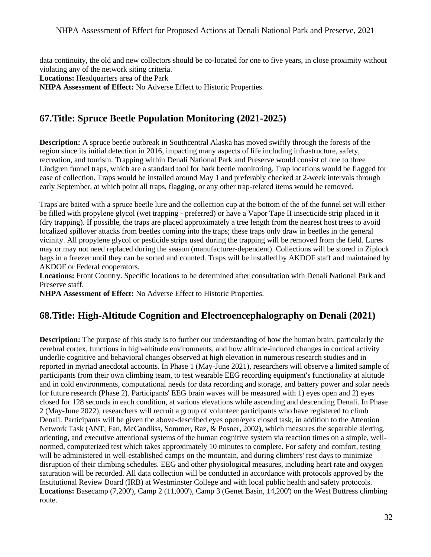data continuity, the old and new collectors should be co-located for one to five years, in close proximity without violating any of the network siting criteria.

Locations: Headquarters area of the Park

**NHPA Assessment of Effect:** No Adverse Effect to Historic Properties.

# <span id="page-31-0"></span>**67.Title: Spruce Beetle Population Monitoring (2021-2025)**

 **Description:** A spruce beetle outbreak in Southcentral Alaska has moved swiftly through the forests of the early September, at which point all traps, flagging, or any other trap-related items would be removed. region since its initial detection in 2016, impacting many aspects of life including infrastructure, safety, recreation, and tourism. Trapping within Denali National Park and Preserve would consist of one to three Lindgren funnel traps, which are a standard tool for bark beetle monitoring. Trap locations would be flagged for ease of collection. Traps would be installed around May 1 and preferably checked at 2-week intervals through

 Traps are baited with a spruce beetle lure and the collection cup at the bottom of the of the funnel set will either be filled with propylene glycol (wet trapping - preferred) or have a Vapor Tape II insecticide strip placed in it (dry trapping). If possible, the traps are placed approximately a tree length from the nearest host trees to avoid localized spillover attacks from beetles coming into the traps; these traps only draw in beetles in the general vicinity. All propylene glycol or pesticide strips used during the trapping will be removed from the field. Lures may or may not need replaced during the season (manufacturer-dependent). Collections will be stored in Ziplock bags in a freezer until they can be sorted and counted. Traps will be installed by AKDOF staff and maintained by AKDOF or Federal cooperators.

**Locations:** Front Country. Specific locations to be determined after consultation with Denali National Park and Preserve staff.

**NHPA Assessment of Effect:** No Adverse Effect to Historic Properties.

# <span id="page-31-1"></span>**68.Title: High-Altitude Cognition and Electroencephalography on Denali (2021)**

 participants from their own climbing team, to test wearable EEG recording equipment's functionality at altitude 2 (May-June 2022), researchers will recruit a group of volunteer participants who have registered to climb will be administered in well-established camps on the mountain, and during climbers' rest days to minimize **Description:** The purpose of this study is to further our understanding of how the human brain, particularly the cerebral cortex, functions in high-altitude environments, and how altitude-induced changes in cortical activity underlie cognitive and behavioral changes observed at high elevation in numerous research studies and in reported in myriad anecdotal accounts. In Phase 1 (May-June 2021), researchers will observe a limited sample of and in cold environments, computational needs for data recording and storage, and battery power and solar needs for future research (Phase 2). Participants' EEG brain waves will be measured with 1) eyes open and 2) eyes closed for 128 seconds in each condition, at various elevations while ascending and descending Denali. In Phase Denali. Participants will be given the above-described eyes open/eyes closed task, in addition to the Attention Network Task (ANT; Fan, McCandliss, Sommer, Raz, & Posner, 2002), which measures the separable alerting, orienting, and executive attentional systems of the human cognitive system via reaction times on a simple, wellnormed, computerized test which takes approximately 10 minutes to complete. For safety and comfort, testing disruption of their climbing schedules. EEG and other physiological measures, including heart rate and oxygen saturation will be recorded. All data collection will be conducted in accordance with protocols approved by the Institutional Review Board (IRB) at Westminster College and with local public health and safety protocols. **Locations:** Basecamp (7,200'), Camp 2 (11,000'), Camp 3 (Genet Basin, 14,200') on the West Buttress climbing route.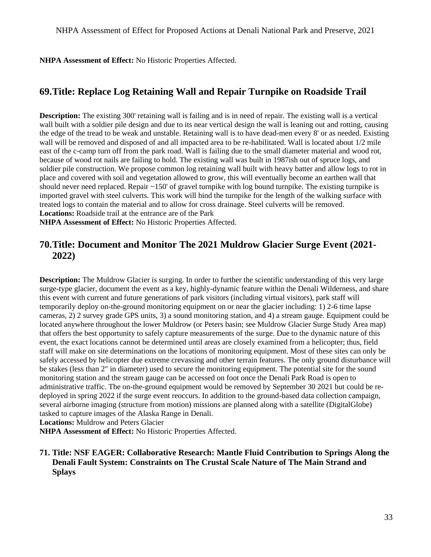**NHPA Assessment of Effect:** No Historic Properties Affected.

# <span id="page-32-0"></span>**69.Title: Replace Log Retaining Wall and Repair Turnpike on Roadside Trail**

 east of the c-camp turn off from the park road. Wall is failing due to the small diameter material and wood rot, place and covered with soil and vegetation allowed to grow, this will eventually become an earthen wall that treated logs to contain the material and to allow for cross drainage. Steel culverts will be removed. **Locations:** Roadside trail at the entrance are of the Park **Description:** The existing 300' retaining wall is failing and is in need of repair. The existing wall is a vertical wall built with a soldier pile design and due to its near vertical design the wall is leaning out and rotting, causing the edge of the tread to be weak and unstable. Retaining wall is to have dead-men every 8' or as needed. Existing wall will be removed and disposed of and all impacted area to be re-habilitated. Wall is located about  $1/2$  mile because of wood rot nails are failing to hold. The existing wall was built in 1987ish out of spruce logs, and soldier pile construction. We propose common log retaining wall built with heavy batter and allow logs to rot in should never need replaced. Repair ~150' of gravel turnpike with log bound turnpike. The existing turnpike is imported gravel with steel culverts. This work will bind the turnpike for the length of the walking surface with

**NHPA Assessment of Effect:** No Historic Properties Affected.

## <span id="page-32-1"></span>**70.Title: Document and Monitor The 2021 Muldrow Glacier Surge Event (2021- 2022)**

 located anywhere throughout the lower Muldrow (or Peters basin; see Muldrow Glacier Surge Study Area map) event, the exact locations cannot be determined until areas are closely examined from a helicopter; thus, field staff will make on site determinations on the locations of monitoring equipment. Most of these sites can only be safely accessed by helicopter due extreme crevassing and other terrain features. The only ground disturbance will be stakes (less than 2" in diameter) used to secure the monitoring equipment. The potential site for the sound monitoring station and the stream gauge can be accessed on foot once the Denali Park Road is open to **Description:** The Muldrow Glacier is surging. In order to further the scientific understanding of this very large surge-type glacier, document the event as a key, highly-dynamic feature within the Denali Wilderness, and share this event with current and future generations of park visitors (including virtual visitors), park staff will temporarily deploy on-the-ground monitoring equipment on or near the glacier including: 1) 2-6 time lapse cameras, 2) 2 survey grade GPS units, 3) a sound monitoring station, and 4) a stream gauge. Equipment could be that offers the best opportunity to safely capture measurements of the surge. Due to the dynamic nature of this administrative traffic. The on-the-ground equipment would be removed by September 30 2021 but could be redeployed in spring 2022 if the surge event reoccurs. In addition to the ground-based data collection campaign, several airborne imaging (structure from motion) missions are planned along with a satellite (DigitalGlobe) tasked to capture images of the Alaska Range in Denali.

**Locations:** Muldrow and Peters Glacier

**NHPA Assessment of Effect:** No Historic Properties Affected.

<span id="page-32-2"></span>**71. Title: NSF EAGER: Collaborative Research: Mantle Fluid Contribution to Springs Along the Denali Fault System: Constraints on The Crustal Scale Nature of The Main Strand and Splays**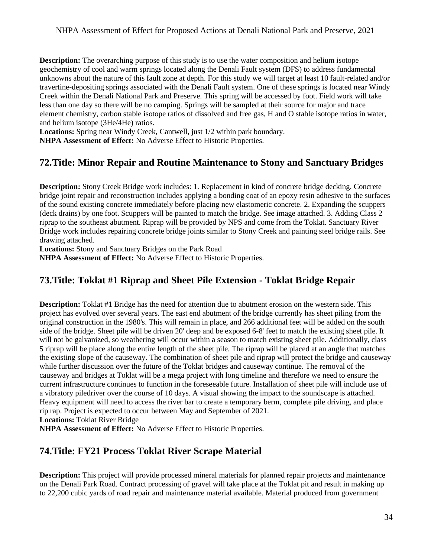unknowns about the nature of this fault zone at depth. For this study we will target at least 10 fault-related and/or travertine-depositing springs associated with the Denali Fault system. One of these springs is located near Windy **Description:** The overarching purpose of this study is to use the water composition and helium isotope geochemistry of cool and warm springs located along the Denali Fault system (DFS) to address fundamental Creek within the Denali National Park and Preserve. This spring will be accessed by foot. Field work will take less than one day so there will be no camping. Springs will be sampled at their source for major and trace element chemistry, carbon stable isotope ratios of dissolved and free gas, H and O stable isotope ratios in water, and helium isotope (3He/4He) ratios.

**Locations:** Spring near Windy Creek, Cantwell, just 1/2 within park boundary.

**NHPA Assessment of Effect:** No Adverse Effect to Historic Properties.

# <span id="page-33-0"></span>**72.Title: Minor Repair and Routine Maintenance to Stony and Sanctuary Bridges**

**Description:** Stony Creek Bridge work includes: 1. Replacement in kind of concrete bridge decking. Concrete bridge joint repair and reconstruction includes applying a bonding coat of an epoxy resin adhesive to the surfaces of the sound existing concrete immediately before placing new elastomeric concrete. 2. Expanding the scuppers (deck drains) by one foot. Scuppers will be painted to match the bridge. See image attached. 3. Adding Class 2 riprap to the southeast abutment. Riprap will be provided by NPS and come from the Toklat. Sanctuary River Bridge work includes repairing concrete bridge joints similar to Stony Creek and painting steel bridge rails. See drawing attached.

**Locations:** Stony and Sanctuary Bridges on the Park Road

**NHPA Assessment of Effect:** No Adverse Effect to Historic Properties.

# <span id="page-33-1"></span>**73.Title: Toklat #1 Riprap and Sheet Pile Extension - Toklat Bridge Repair**

 project has evolved over several years. The east end abutment of the bridge currently has sheet piling from the original construction in the 1980's. This will remain in place, and 266 additional feet will be added on the south will not be galvanized, so weathering will occur within a season to match existing sheet pile. Additionally, class 5 riprap will be place along the entire length of the sheet pile. The riprap will be placed at an angle that matches a vibratory piledriver over the course of 10 days. A visual showing the impact to the soundscape is attached. **Description:** Toklat #1 Bridge has the need for attention due to abutment erosion on the western side. This side of the bridge. Sheet pile will be driven 20' deep and be exposed 6-8' feet to match the existing sheet pile. It the existing slope of the causeway. The combination of sheet pile and riprap will protect the bridge and causeway while further discussion over the future of the Toklat bridges and causeway continue. The removal of the causeway and bridges at Toklat will be a mega project with long timeline and therefore we need to ensure the current infrastructure continues to function in the foreseeable future. Installation of sheet pile will include use of Heavy equipment will need to access the river bar to create a temporary berm, complete pile driving, and place rip rap. Project is expected to occur between May and September of 2021.

**Locations:** Toklat River Bridge

**NHPA Assessment of Effect:** No Adverse Effect to Historic Properties.

# <span id="page-33-2"></span>**74.Title: FY21 Process Toklat River Scrape Material**

 **Description:** This project will provide processed mineral materials for planned repair projects and maintenance on the Denali Park Road. Contract processing of gravel will take place at the Toklat pit and result in making up to 22,200 cubic yards of road repair and maintenance material available. Material produced from government